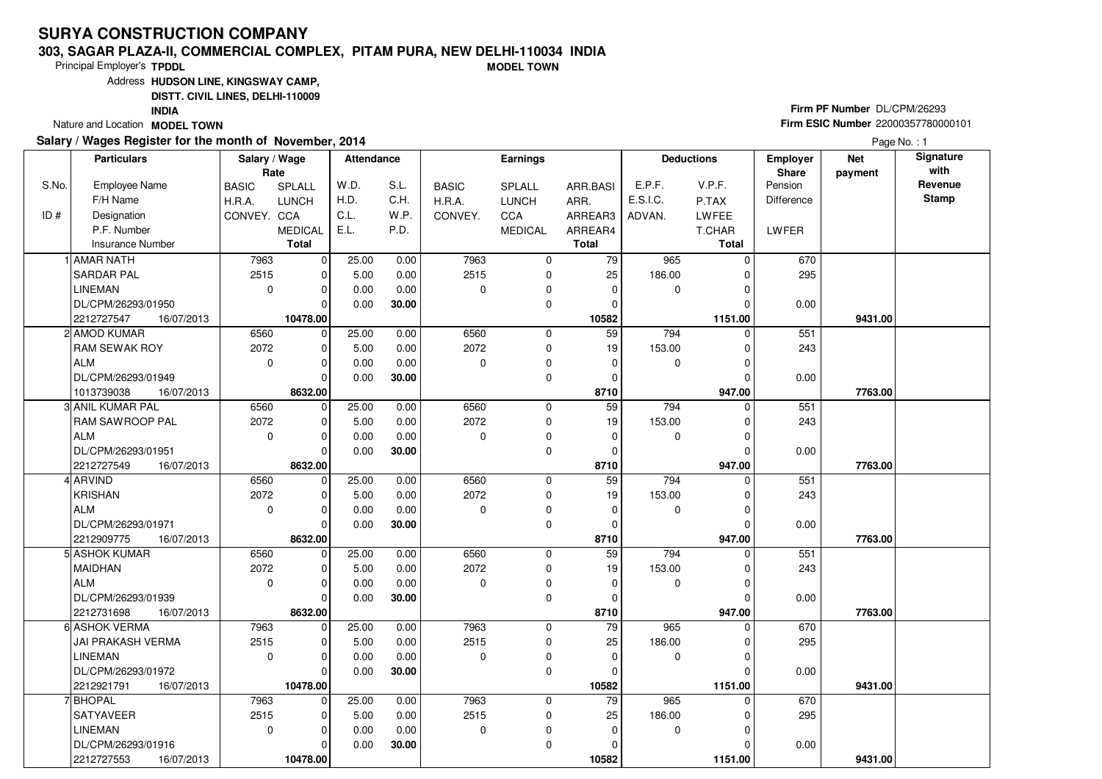#### **303, SAGAR PLAZA-II, COMMERCIAL COMPLEX, PITAM PURA, NEW DELHI-110034 INDIAMODEL TOWN**

Principal Employer's**TPDDL**

Address**HUDSON LINE, KINGSWAY CAMP,**

**DISTT. CIVIL LINES, DELHI-110009**

**INDIA**

Nature and Location **MODEL TOWN** 

### **Salary / Wages Register for the month of November, 2014**

## **Firm PF Number** DL/CPM/26293 **Firm ESIC Number** <sup>22000357780000101</sup>

|       | <b>Particulars</b>       | Salary / Wage | Rate           | <b>Attendance</b> |       |              | <b>Earnings</b> |              |             | <b>Deductions</b> | Employer<br>Share | <b>Net</b><br>payment | Signature<br>with |
|-------|--------------------------|---------------|----------------|-------------------|-------|--------------|-----------------|--------------|-------------|-------------------|-------------------|-----------------------|-------------------|
| S.No. | <b>Employee Name</b>     | <b>BASIC</b>  | SPLALL         | W.D.              | S.L.  | <b>BASIC</b> | SPLALL          | ARR.BASI     | E.P.F.      | V.P.F.            | Pension           |                       | Revenue           |
|       | F/H Name                 | H.R.A.        | <b>LUNCH</b>   | H.D.              | C.H.  | H.R.A.       | <b>LUNCH</b>    | ARR.         | E.S.I.C.    | P.TAX             | Difference        |                       | Stamp             |
| ID#   | Designation              | CONVEY. CCA   |                | C.L.              | W.P.  | CONVEY.      | <b>CCA</b>      | ARREAR3      | ADVAN.      | LWFEE             |                   |                       |                   |
|       | P.F. Number              |               | <b>MEDICAL</b> | E.L.              | P.D.  |              | <b>MEDICAL</b>  | ARREAR4      |             | T.CHAR            | LWFER             |                       |                   |
|       | <b>Insurance Number</b>  |               | <b>Total</b>   |                   |       |              |                 | <b>Total</b> |             | <b>Total</b>      |                   |                       |                   |
|       | 1 AMAR NATH              | 7963          | $\overline{0}$ | 25.00             | 0.00  | 7963         | 0               | 79           | 965         | $\Omega$          | 670               |                       |                   |
|       | <b>SARDAR PAL</b>        | 2515          | $\mathbf 0$    | 5.00              | 0.00  | 2515         | $\mathbf 0$     | 25           | 186.00      |                   | 295               |                       |                   |
|       | <b>LINEMAN</b>           | $\mathbf 0$   | $\mathbf 0$    | 0.00              | 0.00  | $\Omega$     | 0               | $\mathbf 0$  | 0           | $\Omega$          |                   |                       |                   |
|       | DL/CPM/26293/01950       |               | $\Omega$       | 0.00              | 30.00 |              | $\mathbf 0$     | $\mathbf 0$  |             |                   | 0.00              |                       |                   |
|       | 2212727547<br>16/07/2013 |               | 10478.00       |                   |       |              |                 | 10582        |             | 1151.00           |                   | 9431.00               |                   |
|       | 2 AMOD KUMAR             | 6560          | 0              | 25.00             | 0.00  | 6560         | 0               | 59           | 794         | $\Omega$          | 551               |                       |                   |
|       | <b>RAM SEWAK ROY</b>     | 2072          | $\mathbf 0$    | 5.00              | 0.00  | 2072         | $\mathbf 0$     | 19           | 153.00      |                   | 243               |                       |                   |
|       | <b>ALM</b>               | $\mathbf 0$   | $\mathbf 0$    | 0.00              | 0.00  | $\Omega$     | 0               | $\mathbf 0$  | 0           |                   |                   |                       |                   |
|       | DL/CPM/26293/01949       |               | $\Omega$       | 0.00              | 30.00 |              | $\mathbf 0$     | $\mathbf 0$  |             |                   | 0.00              |                       |                   |
|       | 1013739038<br>16/07/2013 |               | 8632.00        |                   |       |              |                 | 8710         |             | 947.00            |                   | 7763.00               |                   |
|       | 3 ANIL KUMAR PAL         | 6560          | $\mathbf 0$    | 25.00             | 0.00  | 6560         | 0               | 59           | 794         | $\Omega$          | 551               |                       |                   |
|       | <b>RAM SAWROOP PAL</b>   | 2072          | $\Omega$       | 5.00              | 0.00  | 2072         | $\mathbf 0$     | 19           | 153.00      |                   | 243               |                       |                   |
|       | <b>ALM</b>               | $\mathbf 0$   | $\mathbf 0$    | 0.00              | 0.00  | $\Omega$     | 0               | $\mathbf 0$  | 0           | $\Omega$          |                   |                       |                   |
|       | DL/CPM/26293/01951       |               | $\mathbf 0$    | 0.00              | 30.00 |              | $\mathbf 0$     | $\Omega$     |             |                   | 0.00              |                       |                   |
|       | 2212727549<br>16/07/2013 |               | 8632.00        |                   |       |              |                 | 8710         |             | 947.00            |                   | 7763.00               |                   |
|       | 4 ARVIND                 | 6560          | $\mathbf 0$    | 25.00             | 0.00  | 6560         | $\mathbf 0$     | 59           | 794         | $\Omega$          | 551               |                       |                   |
|       | KRISHAN                  | 2072          | $\Omega$       | 5.00              | 0.00  | 2072         | $\mathbf 0$     | 19           | 153.00      |                   | 243               |                       |                   |
|       | ALM                      | $\mathbf 0$   | $\Omega$       | 0.00              | 0.00  | $\Omega$     | $\pmb{0}$       | 0            | 0           |                   |                   |                       |                   |
|       | DL/CPM/26293/01971       |               | $\Omega$       | 0.00              | 30.00 |              | $\mathbf 0$     | $\mathbf 0$  |             |                   | 0.00              |                       |                   |
|       | 2212909775<br>16/07/2013 |               | 8632.00        |                   |       |              |                 | 8710         |             | 947.00            |                   | 7763.00               |                   |
|       | 5 ASHOK KUMAR            | 6560          | $\mathbf 0$    | 25.00             | 0.00  | 6560         | $\mathbf 0$     | 59           | 794         |                   | 551               |                       |                   |
|       | <b>MAIDHAN</b>           | 2072          | $\Omega$       | 5.00              | 0.00  | 2072         | $\mathbf 0$     | 19           | 153.00      |                   | 243               |                       |                   |
|       | l ALM                    | $\Omega$      | $\mathbf 0$    | 0.00              | 0.00  | $\Omega$     | $\mathbf 0$     | $\Omega$     | $\mathbf 0$ | O                 |                   |                       |                   |
|       | DL/CPM/26293/01939       |               | $\mathbf 0$    | 0.00              | 30.00 |              | 0               | 0            |             |                   | 0.00              |                       |                   |
|       | 2212731698<br>16/07/2013 |               | 8632.00        |                   |       |              |                 | 8710         |             | 947.00            |                   | 7763.00               |                   |
|       | 6 ASHOK VERMA            | 7963          | $\pmb{0}$      | 25.00             | 0.00  | 7963         | $\mathbf 0$     | 79           | 965         | <sup>0</sup>      | 670               |                       |                   |
|       | <b>JAI PRAKASH VERMA</b> | 2515          | $\mathbf 0$    | 5.00              | 0.00  | 2515         | 0               | 25           | 186.00      |                   | 295               |                       |                   |
|       | <b>LINEMAN</b>           | $\Omega$      | $\mathbf 0$    | 0.00              | 0.00  | $\Omega$     | 0               | $\Omega$     | 0           |                   |                   |                       |                   |
|       | DL/CPM/26293/01972       |               | $\Omega$       | 0.00              | 30.00 |              | 0               | $\Omega$     |             |                   | 0.00              |                       |                   |
|       | 2212921791<br>16/07/2013 |               | 10478.00       |                   |       |              |                 | 10582        |             | 1151.00           |                   | 9431.00               |                   |
|       | 7 BHOPAL                 | 7963          | $\mathbf 0$    | 25.00             | 0.00  | 7963         | $\mathbf 0$     | 79           | 965         | 0                 | 670               |                       |                   |
|       | <b>SATYAVEER</b>         | 2515          | $\mathbf 0$    | 5.00              | 0.00  | 2515         | $\mathbf 0$     | 25           | 186.00      |                   | 295               |                       |                   |
|       | <b>LINEMAN</b>           | $\mathbf 0$   | $\mathbf 0$    | 0.00              | 0.00  | 0            | 0               | $\Omega$     | 0           | U                 |                   |                       |                   |
|       | DL/CPM/26293/01916       |               | $\Omega$       | 0.00              | 30.00 |              | $\mathbf 0$     | 0            |             |                   | 0.00              |                       |                   |
|       | 2212727553<br>16/07/2013 |               | 10478.00       |                   |       |              |                 | 10582        |             | 1151.00           |                   | 9431.00               |                   |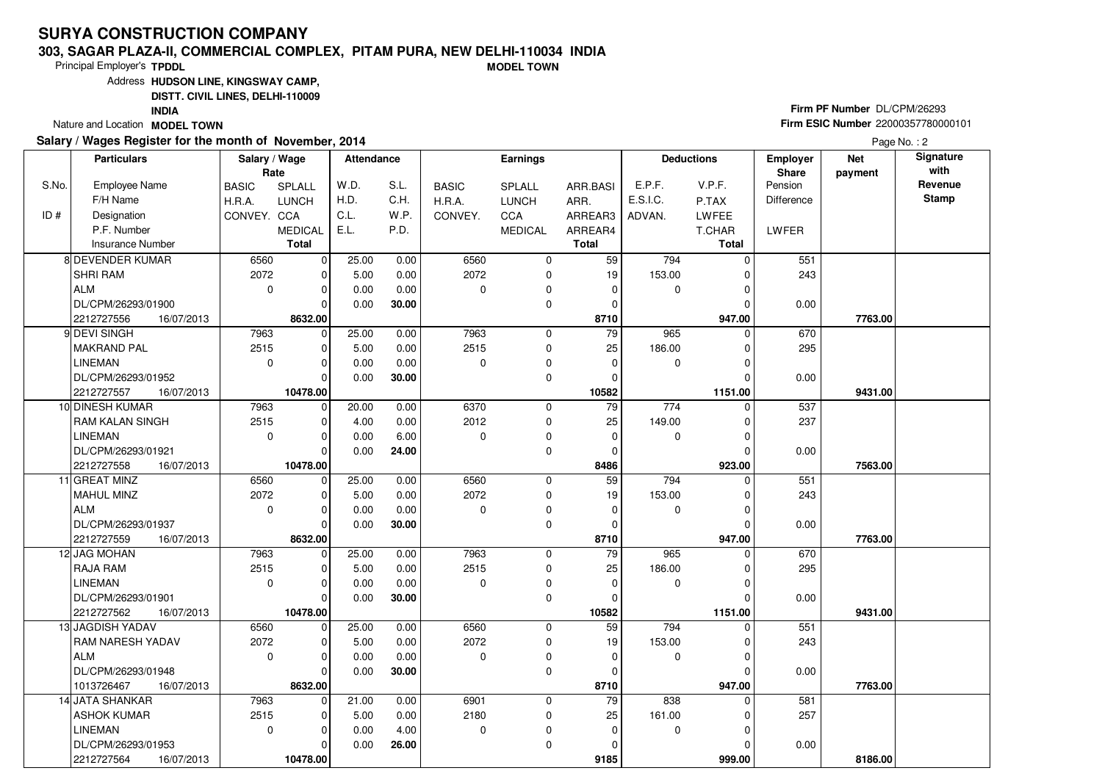#### **303, SAGAR PLAZA-II, COMMERCIAL COMPLEX, PITAM PURA, NEW DELHI-110034 INDIAMODEL TOWN**

Principal Employer's**TPDDL**

Address**HUDSON LINE, KINGSWAY CAMP,**

**DISTT. CIVIL LINES, DELHI-110009**

**INDIA**

Nature and Location **MODEL TOWN** 

### **Salary / Wages Register for the month of November, 2014**

## **Firm PF Number** DL/CPM/26293 **Firm ESIC Number** <sup>22000357780000101</sup>

|       | <b>Particulars</b>                           | Salary / Wage<br>Rate |                         | <b>Attendance</b> |              |              | <b>Earnings</b> |                 |             | <b>Deductions</b>   | <b>Employer</b><br>Share | <b>Net</b><br>payment | Signature<br>with |
|-------|----------------------------------------------|-----------------------|-------------------------|-------------------|--------------|--------------|-----------------|-----------------|-------------|---------------------|--------------------------|-----------------------|-------------------|
| S.No. | <b>Employee Name</b>                         | <b>BASIC</b>          | SPLALL                  | W.D.              | S.L.         | <b>BASIC</b> | SPLALL          | ARR.BASI        | E.P.F.      | V.P.F.              | Pension                  |                       | Revenue           |
|       | F/H Name                                     | H.R.A.                | <b>LUNCH</b>            | H.D.              | C.H.         | H.R.A.       | <b>LUNCH</b>    | ARR.            | E.S.I.C.    | P.TAX               | Difference               |                       | <b>Stamp</b>      |
| ID#   | Designation                                  | CONVEY. CCA           |                         | C.L.              | W.P.         | CONVEY.      | CCA             | ARREAR3         | ADVAN.      | <b>LWFEE</b>        |                          |                       |                   |
|       | P.F. Number                                  |                       | <b>MEDICAL</b>          | E.L.              | P.D.         |              | <b>MEDICAL</b>  | ARREAR4         |             | T.CHAR              | LWFER                    |                       |                   |
|       | <b>Insurance Number</b>                      |                       | <b>Total</b>            |                   |              |              |                 | <b>Total</b>    |             | <b>Total</b>        |                          |                       |                   |
|       | 8 DEVENDER KUMAR                             | 6560                  | $\mathbf 0$             | 25.00             | 0.00         | 6560         | 0               | 59              | 794         | 0                   | 551                      |                       |                   |
|       | <b>SHRI RAM</b>                              | 2072                  | $\mathbf 0$             | 5.00              | 0.00         | 2072         | 0               | 19              | 153.00      | $\Omega$            | 243                      |                       |                   |
|       | ALM                                          | $\mathbf 0$           | $\mathbf 0$             | 0.00              | 0.00         | 0            | 0               | 0               | 0           |                     |                          |                       |                   |
|       | DL/CPM/26293/01900                           |                       | $\Omega$                | 0.00              | 30.00        |              | $\mathbf 0$     | $\mathbf 0$     |             |                     | 0.00                     |                       |                   |
|       | 2212727556<br>16/07/2013                     |                       | 8632.00                 |                   |              |              |                 | 8710            |             | 947.00              |                          | 7763.00               |                   |
|       | 9 DEVI SINGH                                 | 7963                  | 0                       | 25.00             | 0.00         | 7963         | 0               | 79              | 965         | $\Omega$            | 670                      |                       |                   |
|       | <b>MAKRAND PAL</b>                           | 2515                  | $\mathbf 0$             | 5.00              | 0.00         | 2515         | $\mathbf 0$     | 25              | 186.00      | $\Omega$            | 295                      |                       |                   |
|       | LINEMAN                                      | $\mathbf 0$           | $\mathbf 0$             | 0.00              | 0.00         | $\Omega$     | 0               | $\mathbf 0$     | 0           |                     |                          |                       |                   |
|       | DL/CPM/26293/01952                           |                       | $\Omega$                | 0.00              | 30.00        |              | $\mathbf 0$     | $\Omega$        |             | $\Omega$            | 0.00                     |                       |                   |
|       | 2212727557<br>16/07/2013                     |                       | 10478.00                |                   |              |              |                 | 10582           |             | 1151.00             |                          | 9431.00               |                   |
|       | 10 DINESH KUMAR                              | 7963                  | $\mathbf 0$             | 20.00             | 0.00         | 6370         | $\mathbf 0$     | $\overline{79}$ | 774         | $\Omega$            | 537                      |                       |                   |
|       | <b>RAM KALAN SINGH</b>                       | 2515                  | $\mathbf 0$             | 4.00              | 0.00         | 2012         | 0               | 25              | 149.00      |                     | 237                      |                       |                   |
|       | <b>LINEMAN</b>                               | $\mathbf 0$           | $\Omega$                | 0.00              | 6.00         | $\Omega$     | $\mathbf 0$     | $\mathbf 0$     | $\mathbf 0$ | $\Omega$            |                          |                       |                   |
|       | DL/CPM/26293/01921                           |                       | $\Omega$                | 0.00              | 24.00        |              | $\mathbf 0$     | $\Omega$        |             |                     | 0.00                     |                       |                   |
|       | 2212727558<br>16/07/2013                     |                       | 10478.00                |                   |              |              |                 | 8486            |             | 923.00              |                          | 7563.00               |                   |
|       | 11 GREAT MINZ                                | 6560                  | $\mathbf 0$             | 25.00             | 0.00         | 6560         | $\mathbf 0$     | 59              | 794         | O                   | 551                      |                       |                   |
|       | MAHUL MINZ                                   | 2072                  | $\mathbf 0$             | 5.00              | 0.00         | 2072         | 0               | 19              | 153.00      |                     | 243                      |                       |                   |
|       | ALM                                          | $\Omega$              | $\Omega$                | 0.00              | 0.00         | $\Omega$     | 0               | $\Omega$        | $\mathbf 0$ |                     |                          |                       |                   |
|       | DL/CPM/26293/01937                           |                       | $\Omega$                | 0.00              | 30.00        |              | $\mathbf 0$     | $\mathbf 0$     |             |                     | 0.00                     |                       |                   |
|       | 2212727559<br>16/07/2013                     |                       | 8632.00                 |                   |              |              |                 | 8710            |             | 947.00              |                          | 7763.00               |                   |
|       | 12 JAG MOHAN                                 | 7963                  | $\mathbf 0$             | 25.00             | 0.00         | 7963         | $\mathbf 0$     | 79              | 965         |                     | 670                      |                       |                   |
|       | <b>RAJA RAM</b>                              | 2515                  | $\Omega$                | 5.00              | 0.00         | 2515         | 0               | 25              | 186.00      |                     | 295                      |                       |                   |
|       | <b>LINEMAN</b>                               | $\mathbf 0$           | $\mathbf 0$             | 0.00              | 0.00         | $\Omega$     | $\pmb{0}$       | $\mathbf 0$     | 0           | $\Omega$            |                          |                       |                   |
|       | DL/CPM/26293/01901                           |                       | $\mathbf 0$             | 0.00              | 30.00        |              | 0               | $\mathbf 0$     |             |                     | 0.00                     |                       |                   |
|       | 2212727562<br>16/07/2013<br>13 JAGDISH YADAV | 6560                  | 10478.00<br>$\mathbf 0$ |                   |              | 6560         | $\mathbf 0$     | 10582<br>59     | 794         | 1151.00<br>$\Omega$ |                          | 9431.00               |                   |
|       | <b>RAM NARESH YADAV</b>                      | 2072                  | $\Omega$                | 25.00<br>5.00     | 0.00<br>0.00 | 2072         | $\mathbf 0$     | 19              | 153.00      | U                   | 551<br>243               |                       |                   |
|       | ALM                                          | $\mathbf 0$           | $\mathbf 0$             | 0.00              | 0.00         | $\Omega$     | $\mathbf 0$     | $\mathbf 0$     | 0           |                     |                          |                       |                   |
|       | DL/CPM/26293/01948                           |                       | $\Omega$                | 0.00              | 30.00        |              | $\mathbf 0$     | $\Omega$        |             |                     | 0.00                     |                       |                   |
|       |                                              |                       | 8632.00                 |                   |              |              |                 | 8710            |             | 947.00              |                          | 7763.00               |                   |
|       | 1013726467<br>16/07/2013<br>14 JATA SHANKAR  | 7963                  | $\mathbf 0$             | 21.00             | 0.00         | 6901         | $\mathbf 0$     | 79              | 838         | 0                   | 581                      |                       |                   |
|       | <b>ASHOK KUMAR</b>                           | 2515                  | $\Omega$                | 5.00              | 0.00         | 2180         | 0               | 25              | 161.00      |                     | 257                      |                       |                   |
|       | <b>LINEMAN</b>                               | $\mathbf 0$           | $\mathbf 0$             | 0.00              | 4.00         | $\mathbf 0$  | 0               | $\Omega$        | 0           | O                   |                          |                       |                   |
|       | DL/CPM/26293/01953                           |                       | $\Omega$                | 0.00              | 26.00        |              | 0               | $\Omega$        |             |                     | 0.00                     |                       |                   |
|       | 2212727564<br>16/07/2013                     |                       | 10478.00                |                   |              |              |                 | 9185            |             | 999.00              |                          | 8186.00               |                   |
|       |                                              |                       |                         |                   |              |              |                 |                 |             |                     |                          |                       |                   |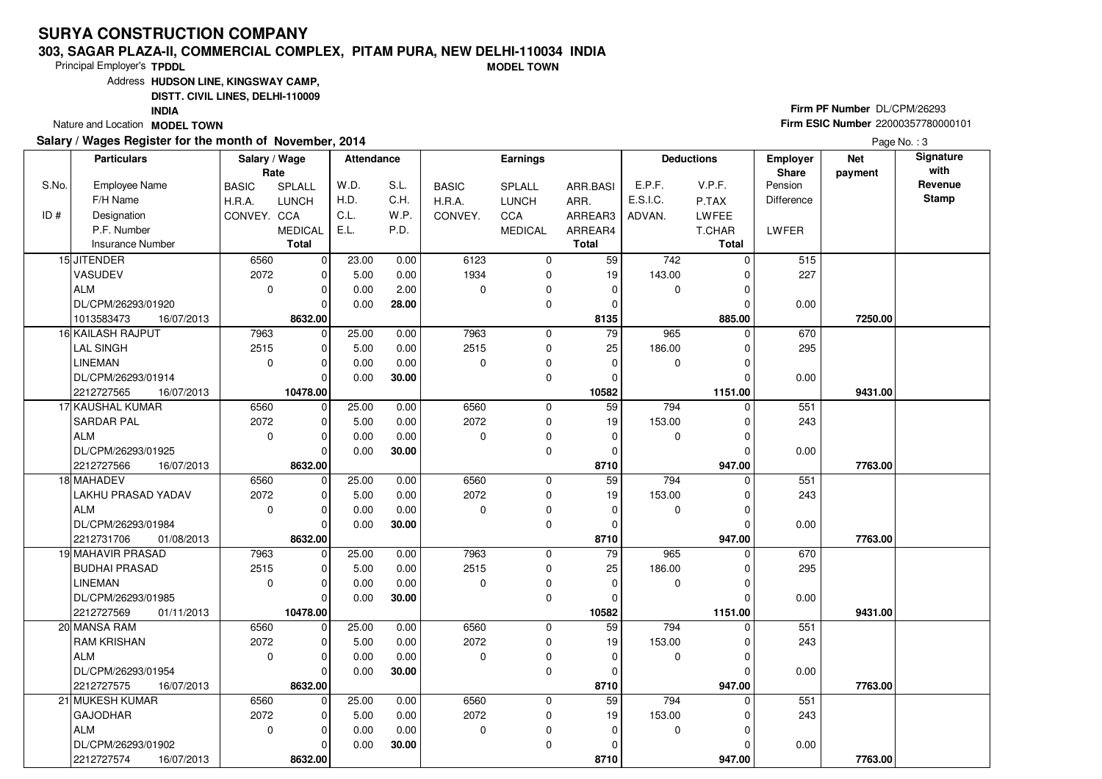#### **303, SAGAR PLAZA-II, COMMERCIAL COMPLEX, PITAM PURA, NEW DELHI-110034 INDIAMODEL TOWN**

Principal Employer's**TPDDL**

Address**HUDSON LINE, KINGSWAY CAMP,**

**DISTT. CIVIL LINES, DELHI-110009**

**INDIA**

Nature and Location **MODEL TOWN** 

### **Salary / Wages Register for the month of November, 2014**

## **Firm PF Number** DL/CPM/26293 **Firm ESIC Number** <sup>22000357780000101</sup>

|       | <b>Particulars</b>                               | Salary / Wage<br>Rate |                            | <b>Attendance</b> |              |              | <b>Earnings</b>  |                 |          | <b>Deductions</b> | Employer<br>Share | <b>Net</b><br>payment | Signature<br>with |
|-------|--------------------------------------------------|-----------------------|----------------------------|-------------------|--------------|--------------|------------------|-----------------|----------|-------------------|-------------------|-----------------------|-------------------|
| S.No. | <b>Employee Name</b>                             | <b>BASIC</b>          | SPLALL                     | W.D.              | S.L.         | <b>BASIC</b> | <b>SPLALL</b>    | ARR.BASI        | E.P.F.   | V.P.F.            | Pension           |                       | Revenue           |
|       | F/H Name                                         | H.R.A.                | <b>LUNCH</b>               | H.D.              | C.H.         | H.R.A.       | <b>LUNCH</b>     | ARR.            | E.S.I.C. | P.TAX             | <b>Difference</b> |                       | <b>Stamp</b>      |
| ID#   | Designation                                      | CONVEY. CCA           |                            | C.L.              | W.P.         | CONVEY.      | CCA              | ARREAR3         | ADVAN.   | <b>LWFEE</b>      |                   |                       |                   |
|       | P.F. Number                                      |                       | <b>MEDICAL</b>             | E.L.              | P.D.         |              | <b>MEDICAL</b>   | ARREAR4         |          | T.CHAR            | LWFER             |                       |                   |
|       | <b>Insurance Number</b>                          |                       | <b>Total</b>               |                   |              |              |                  | <b>Total</b>    |          | <b>Total</b>      |                   |                       |                   |
|       | 15 JITENDER                                      | 6560                  | $\mathbf 0$                | 23.00             | 0.00         | 6123         | 0                | 59              | 742      | $\Omega$          | 515               |                       |                   |
|       | VASUDEV                                          | 2072                  | $\mathbf 0$                | 5.00              | 0.00         | 1934         | 0                | 19              | 143.00   | $\Omega$          | 227               |                       |                   |
|       | ALM                                              | $\mathbf 0$           | $\mathbf 0$                | 0.00              | 2.00         | $\Omega$     | 0                | 0               | 0        | O                 |                   |                       |                   |
|       | DL/CPM/26293/01920                               |                       | $\Omega$                   | 0.00              | 28.00        |              | 0                | 0               |          | O                 | 0.00              |                       |                   |
|       | 16/07/2013<br>1013583473                         |                       | 8632.00                    |                   |              |              |                  | 8135            |          | 885.00            |                   | 7250.00               |                   |
|       | 16 KAILASH RAJPUT                                | 7963                  | $\mathbf 0$                | 25.00             | 0.00         | 7963         | $\mathbf 0$      | $\overline{79}$ | 965      | $\Omega$          | 670               |                       |                   |
|       | <b>LAL SINGH</b>                                 | 2515                  | 0                          | 5.00              | 0.00         | 2515         | 0                | 25              | 186.00   | $\Omega$          | 295               |                       |                   |
|       | <b>LINEMAN</b>                                   | $\mathbf 0$           | $\mathbf 0$                | 0.00              | 0.00         | $\Omega$     | 0                | $\mathbf 0$     | 0        | $\Omega$          |                   |                       |                   |
|       | DL/CPM/26293/01914                               |                       | $\Omega$                   | 0.00              | 30.00        |              | $\mathbf 0$      | $\Omega$        |          | $\Omega$          | 0.00              |                       |                   |
|       | 2212727565<br>16/07/2013                         |                       | 10478.00                   |                   |              |              |                  | 10582           |          | 1151.00           |                   | 9431.00               |                   |
|       | 17 KAUSHAL KUMAR                                 | 6560                  | $\mathbf 0$                | 25.00             | 0.00         | 6560         | 0                | 59              | 794      | $\Omega$          | 551               |                       |                   |
|       | <b>SARDAR PAL</b>                                | 2072                  | $\mathbf 0$                | 5.00              | 0.00         | 2072         | 0                | 19              | 153.00   | 0                 | 243               |                       |                   |
|       | ALM                                              | $\mathbf 0$           | $\Omega$                   | 0.00              | 0.00         | $\Omega$     | 0                | $\Omega$        | 0        | $\Omega$          |                   |                       |                   |
|       | DL/CPM/26293/01925                               |                       | $\Omega$                   | 0.00              | 30.00        |              | 0                | 0               |          | 0                 | 0.00              |                       |                   |
|       | 2212727566<br>16/07/2013                         |                       | 8632.00                    |                   |              |              |                  | 8710            |          | 947.00            |                   | 7763.00               |                   |
|       | 18 MAHADEV                                       | 6560                  | 0                          | 25.00             | 0.00         | 6560         | $\mathbf 0$      | $\overline{59}$ | 794      | $\Omega$          | 551               |                       |                   |
|       | LAKHU PRASAD YADAV                               | 2072                  | $\mathbf 0$                | 5.00              | 0.00         | 2072         | $\mathbf 0$      | 19              | 153.00   |                   | 243               |                       |                   |
|       | ALM                                              | $\mathbf 0$           | $\mathbf 0$                | 0.00              | 0.00         | $\Omega$     | 0                | $\mathbf 0$     | 0        | $\Omega$          |                   |                       |                   |
|       | DL/CPM/26293/01984                               |                       | $\Omega$                   | 0.00              | 30.00        |              | $\mathbf 0$      | 0               |          | $\Omega$          | 0.00              |                       |                   |
|       | 2212731706<br>01/08/2013                         | 7963                  | 8632.00                    | 25.00             |              | 7963         |                  | 8710<br>79      | 965      | 947.00            |                   | 7763.00               |                   |
|       | <b>19 MAHAVIR PRASAD</b><br><b>BUDHAI PRASAD</b> | 2515                  | $\mathbf 0$<br>$\mathbf 0$ | 5.00              | 0.00<br>0.00 | 2515         | 0<br>$\mathbf 0$ | 25              | 186.00   | 0                 | 670<br>295        |                       |                   |
|       | <b>LINEMAN</b>                                   | $\mathbf 0$           | $\mathbf 0$                | 0.00              | 0.00         | $\Omega$     | 0                | $\mathbf 0$     | 0        | O                 |                   |                       |                   |
|       | DL/CPM/26293/01985                               |                       | $\Omega$                   | 0.00              | 30.00        |              | $\mathbf 0$      | $\mathbf 0$     |          |                   | 0.00              |                       |                   |
|       | 2212727569<br>01/11/2013                         |                       | 10478.00                   |                   |              |              |                  | 10582           |          | 1151.00           |                   | 9431.00               |                   |
|       | 20 MANSA RAM                                     | 6560                  | 0                          | 25.00             | 0.00         | 6560         | $\mathbf 0$      | 59              | 794      | $\Omega$          | 551               |                       |                   |
|       | <b>RAM KRISHAN</b>                               | 2072                  | $\mathbf 0$                | 5.00              | 0.00         | 2072         | 0                | 19              | 153.00   |                   | 243               |                       |                   |
|       | ALM                                              | $\Omega$              | $\Omega$                   | 0.00              | 0.00         | $\Omega$     | $\mathbf 0$      | $\Omega$        | 0        | $\Omega$          |                   |                       |                   |
|       | DL/CPM/26293/01954                               |                       | $\Omega$                   | 0.00              | 30.00        |              | $\Omega$         | $\Omega$        |          |                   | 0.00              |                       |                   |
|       | 2212727575<br>16/07/2013                         |                       | 8632.00                    |                   |              |              |                  | 8710            |          | 947.00            |                   | 7763.00               |                   |
|       | 21 MUKESH KUMAR                                  | 6560                  | $\mathbf 0$                | 25.00             | 0.00         | 6560         | $\mathbf 0$      | 59              | 794      | $\Omega$          | 551               |                       |                   |
|       | GAJODHAR                                         | 2072                  | $\mathbf 0$                | 5.00              | 0.00         | 2072         | 0                | 19              | 153.00   |                   | 243               |                       |                   |
|       | ALM                                              | $\mathbf 0$           | $\Omega$                   | 0.00              | 0.00         | $\mathbf 0$  | 0                | $\mathbf 0$     | 0        | $\Omega$          |                   |                       |                   |
|       | DL/CPM/26293/01902                               |                       | $\Omega$                   | 0.00              | 30.00        |              | $\mathbf 0$      | $\Omega$        |          |                   | 0.00              |                       |                   |
|       | 2212727574<br>16/07/2013                         |                       | 8632.00                    |                   |              |              |                  | 8710            |          | 947.00            |                   | 7763.00               |                   |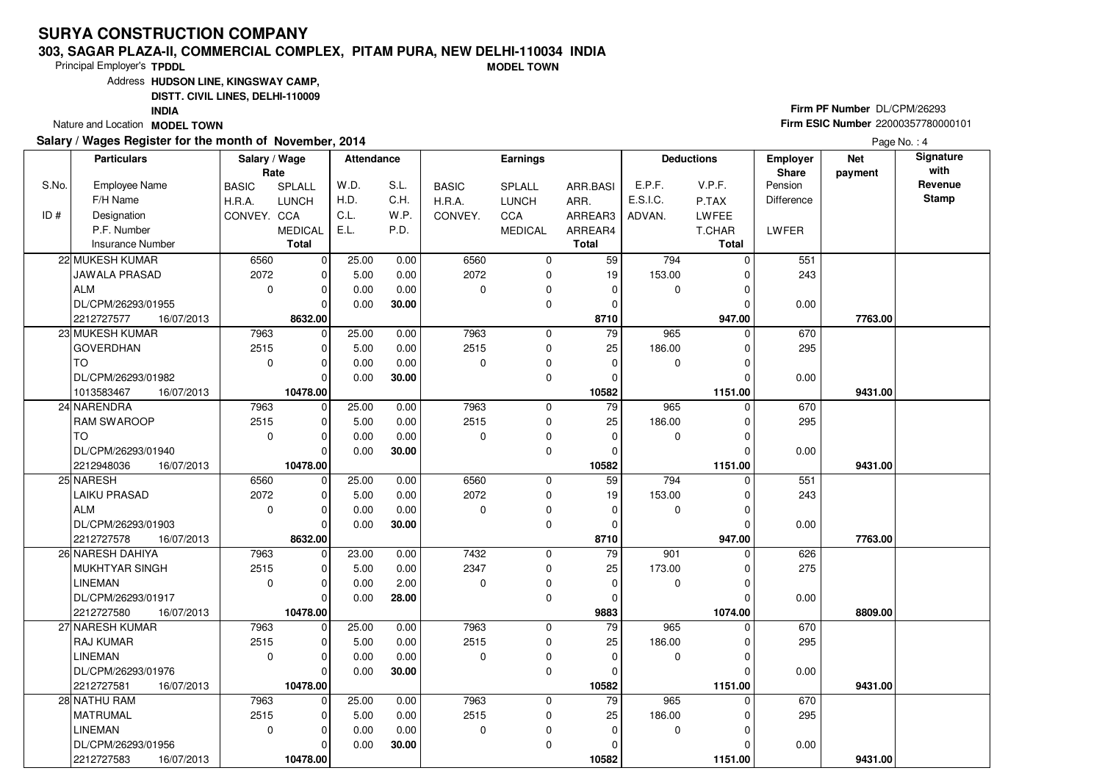#### **303, SAGAR PLAZA-II, COMMERCIAL COMPLEX, PITAM PURA, NEW DELHI-110034 INDIAMODEL TOWN**

Principal Employer's**TPDDL**

Address**HUDSON LINE, KINGSWAY CAMP,**

**DISTT. CIVIL LINES, DELHI-110009**

**INDIA**

Nature and Location **MODEL TOWN** 

### **Salary / Wages Register for the month of November, 2014**

**Firm PF Number** DL/CPM/26293 **Firm ESIC Number** <sup>22000357780000101</sup>

|       | <b>Particulars</b>                           | Salary / Wage |                     | Attendance |              |              | <b>Earnings</b>            |                          |             | <b>Deductions</b>   | Employer          | <b>Net</b> | Signature               |
|-------|----------------------------------------------|---------------|---------------------|------------|--------------|--------------|----------------------------|--------------------------|-------------|---------------------|-------------------|------------|-------------------------|
|       |                                              | Rate          |                     |            |              |              |                            |                          |             |                     | <b>Share</b>      | payment    | with                    |
| S.No. | <b>Employee Name</b>                         | <b>BASIC</b>  | SPLALL              | W.D.       | S.L.         | <b>BASIC</b> | <b>SPLALL</b>              | ARR.BASI                 | E.P.F.      | V.P.F.              | Pension           |            | Revenue<br><b>Stamp</b> |
|       | F/H Name                                     | H.R.A.        | <b>LUNCH</b>        | H.D.       | C.H.         | H.R.A.       | <b>LUNCH</b>               | ARR.                     | E.S.I.C.    | P.TAX               | <b>Difference</b> |            |                         |
| ID#   | Designation                                  | CONVEY. CCA   |                     | C.L.       | W.P.         | CONVEY.      | <b>CCA</b>                 | ARREAR3                  | ADVAN.      | LWFEE               |                   |            |                         |
|       | P.F. Number                                  |               | <b>MEDICAL</b>      | E.L.       | P.D.         |              | <b>MEDICAL</b>             | ARREAR4                  |             | T.CHAR              | LWFER             |            |                         |
|       | <b>Insurance Number</b>                      |               | <b>Total</b>        |            |              |              |                            | <b>Total</b>             |             | <b>Total</b>        |                   |            |                         |
|       | 22 MUKESH KUMAR                              | 6560          | 0                   | 25.00      | 0.00         | 6560         | $\mathbf 0$                | 59                       | 794         | $\mathbf 0$         | 551               |            |                         |
|       | JAWALA PRASAD                                | 2072          | $\overline{0}$      | 5.00       | 0.00         | 2072         | $\mathbf 0$                | 19                       | 153.00      |                     | 243               |            |                         |
|       | <b>ALM</b>                                   | $\mathbf 0$   | $\Omega$            | 0.00       | 0.00         | $\Omega$     | $\mathbf{0}$               | $\Omega$                 | $\mathbf 0$ | O                   |                   |            |                         |
|       | DL/CPM/26293/01955                           |               | $\Omega$            | 0.00       | 30.00        |              | $\mathbf 0$                | $\Omega$                 |             |                     | 0.00              |            |                         |
|       | 2212727577<br>16/07/2013                     |               | 8632.00             |            |              |              |                            | 8710                     |             | 947.00              |                   | 7763.00    |                         |
|       | 23 MUKESH KUMAR                              | 7963          | $\mathbf 0$         | 25.00      | 0.00         | 7963         | $\mathbf 0$                | 79                       | 965         | 0                   | 670               |            |                         |
|       | <b>GOVERDHAN</b>                             | 2515          | 0                   | 5.00       | 0.00         | 2515         | $\mathbf 0$                | 25                       | 186.00      |                     | 295               |            |                         |
|       | TO.                                          | $\mathbf 0$   | $\Omega$            | 0.00       | 0.00         | 0            | $\mathbf 0$                | $\Omega$                 | $\mathbf 0$ |                     |                   |            |                         |
|       | DL/CPM/26293/01982                           |               | $\Omega$            | 0.00       | 30.00        |              | $\mathbf{0}$               | $\Omega$                 |             |                     | 0.00              |            |                         |
|       | 1013583467<br>16/07/2013                     |               | 10478.00            |            |              |              |                            | 10582                    |             | 1151.00             |                   | 9431.00    |                         |
|       | 24 NARENDRA                                  | 7963          | $\mathbf 0$         | 25.00      | 0.00         | 7963         | $\mathbf 0$                | 79                       | 965         | $\Omega$            | 670               |            |                         |
|       | <b>RAM SWAROOP</b>                           | 2515          | $\mathbf 0$         | 5.00       | 0.00         | 2515         | $\mathbf 0$                | 25                       | 186.00      |                     | 295               |            |                         |
|       | <b>TO</b>                                    | $\pmb{0}$     | $\mathbf 0$         | 0.00       | 0.00         | 0            | $\mathbf 0$                | $\mathbf 0$              | 0           | $\Omega$            |                   |            |                         |
|       | DL/CPM/26293/01940                           |               | $\Omega$            | 0.00       | 30.00        |              | $\mathbf 0$                | $\Omega$                 |             |                     | 0.00              |            |                         |
|       | 2212948036<br>16/07/2013<br>25 NARESH        | 6560          | 10478.00            | 25.00      |              | 6560         |                            | 10582<br>$\overline{59}$ | 794         | 1151.00<br>$\Omega$ |                   | 9431.00    |                         |
|       | <b>LAIKU PRASAD</b>                          | 2072          | 0 <br>$\Omega$      | 5.00       | 0.00<br>0.00 | 2072         | $\mathbf 0$<br>$\mathbf 0$ | 19                       | 153.00      | O                   | 551<br>243        |            |                         |
|       | <b>ALM</b>                                   |               | $\Omega$            |            |              | $\Omega$     |                            | $\Omega$                 |             |                     |                   |            |                         |
|       |                                              | $\mathbf 0$   |                     | 0.00       | 0.00         |              | $\mathbf 0$                | $\Omega$                 | $\mathbf 0$ |                     |                   |            |                         |
|       | DL/CPM/26293/01903                           |               | $\mathbf 0$         | 0.00       | 30.00        |              | $\mathbf 0$                |                          |             |                     | 0.00              |            |                         |
|       | 2212727578<br>16/07/2013<br>26 NARESH DAHIYA | 7963          | 8632.00<br>$\Omega$ | 23.00      | 0.00         | 7432         | $\mathbf 0$                | 8710<br>79               | 901         | 947.00              | 626               | 7763.00    |                         |
|       | <b>MUKHTYAR SINGH</b>                        | 2515          | $\mathbf 0$         | 5.00       | 0.00         | 2347         | $\mathbf 0$                | 25                       | 173.00      |                     | 275               |            |                         |
|       | <b>LINEMAN</b>                               | $\mathbf 0$   | $\mathbf 0$         | 0.00       | 2.00         | 0            | $\mathbf 0$                | $\mathbf 0$              | $\mathbf 0$ | $\Omega$            |                   |            |                         |
|       | DL/CPM/26293/01917                           |               | $\Omega$            | 0.00       | 28.00        |              | $\mathbf{0}$               | $\Omega$                 |             | O                   | 0.00              |            |                         |
|       | 2212727580<br>16/07/2013                     |               | 10478.00            |            |              |              |                            | 9883                     |             | 1074.00             |                   | 8809.00    |                         |
|       | 27 NARESH KUMAR                              | 7963          | $\mathbf 0$         | 25.00      | 0.00         | 7963         | $\mathbf 0$                | 79                       | 965         | $\Omega$            | 670               |            |                         |
|       | <b>RAJ KUMAR</b>                             | 2515          | $\Omega$            | 5.00       | 0.00         | 2515         | $\mathbf 0$                | 25                       | 186.00      |                     | 295               |            |                         |
|       | <b>LINEMAN</b>                               | $\mathbf 0$   | $\mathbf 0$         | 0.00       | 0.00         | 0            | $\mathbf 0$                | $\Omega$                 | 0           |                     |                   |            |                         |
|       | DL/CPM/26293/01976                           |               | $\Omega$            | 0.00       | 30.00        |              | $\mathbf 0$                | $\Omega$                 |             | 0                   | 0.00              |            |                         |
|       | 2212727581<br>16/07/2013                     |               | 10478.00            |            |              |              |                            | 10582                    |             | 1151.00             |                   | 9431.00    |                         |
|       | 28 NATHU RAM                                 | 7963          | $\overline{0}$      | 25.00      | 0.00         | 7963         | $\mathbf 0$                | 79                       | 965         | $\Omega$            | 670               |            |                         |
|       | <b>MATRUMAL</b>                              | 2515          | 0                   | 5.00       | 0.00         | 2515         | $\mathbf 0$                | 25                       | 186.00      |                     | 295               |            |                         |
|       | <b>LINEMAN</b>                               | $\mathbf 0$   | $\mathbf 0$         | 0.00       | 0.00         | 0            | $\mathbf 0$                | $\Omega$                 | $\mathbf 0$ | O                   |                   |            |                         |
|       | DL/CPM/26293/01956                           |               | $\mathbf 0$         | 0.00       | 30.00        |              | $\mathbf{0}$               | $\Omega$                 |             |                     | 0.00              |            |                         |
|       | 2212727583<br>16/07/2013                     |               | 10478.00            |            |              |              |                            | 10582                    |             | 1151.00             |                   | 9431.00    |                         |
|       |                                              |               |                     |            |              |              |                            |                          |             |                     |                   |            |                         |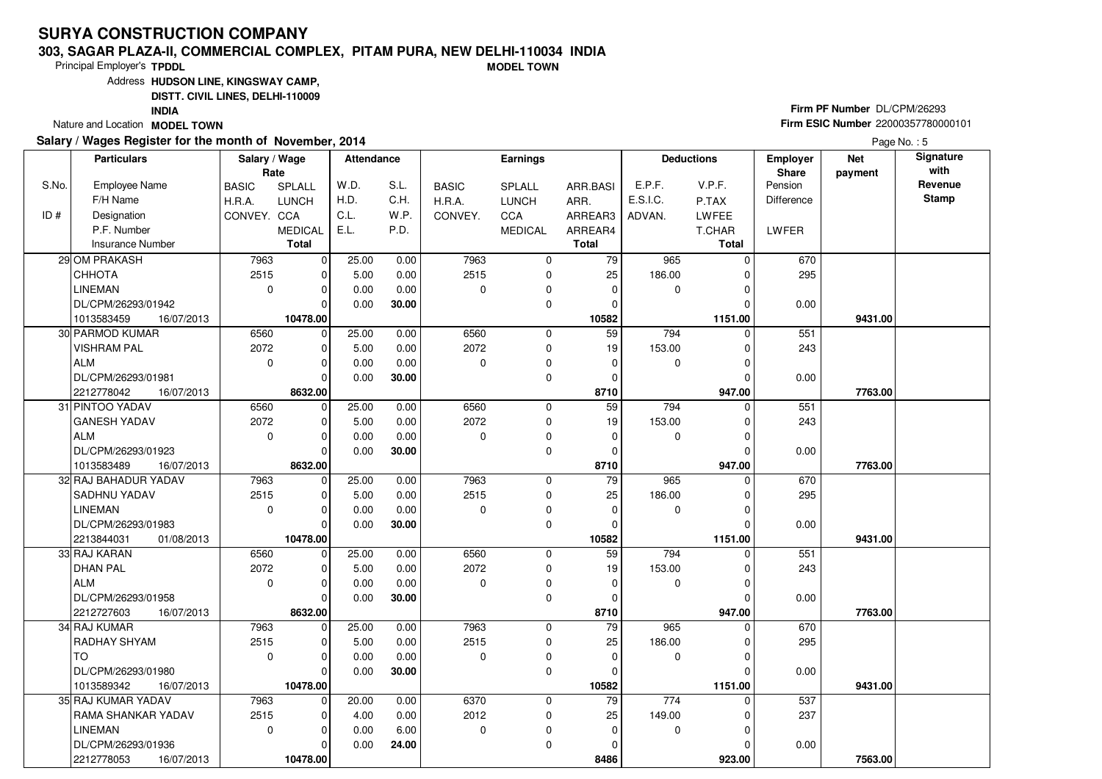#### **303, SAGAR PLAZA-II, COMMERCIAL COMPLEX, PITAM PURA, NEW DELHI-110034 INDIAMODEL TOWN**

Principal Employer's**TPDDL**

Address**HUDSON LINE, KINGSWAY CAMP,**

**DISTT. CIVIL LINES, DELHI-110009**

**INDIA**

Nature and Location **MODEL TOWN** 

### **Salary / Wages Register for the month of November, 2014**

## **Firm PF Number** DL/CPM/26293 **Firm ESIC Number** <sup>22000357780000101</sup>

|       | <b>Particulars</b>                               | Salary / Wage<br>Rate |                            | <b>Attendance</b> |               |              | <b>Earnings</b>  |                  |             | <b>Deductions</b> | Employer<br><b>Share</b> | <b>Net</b> | Signature<br>with |
|-------|--------------------------------------------------|-----------------------|----------------------------|-------------------|---------------|--------------|------------------|------------------|-------------|-------------------|--------------------------|------------|-------------------|
| S.No. | Employee Name                                    | <b>BASIC</b>          | SPLALL                     | W.D.              | S.L.          | <b>BASIC</b> | <b>SPLALL</b>    | ARR.BASI         | E.P.F.      | V.P.F.            | Pension                  | payment    | Revenue           |
|       | F/H Name                                         | H.R.A.                | <b>LUNCH</b>               | H.D.              | C.H.          | H.R.A.       | <b>LUNCH</b>     | ARR.             | E.S.I.C.    | P.TAX             | Difference               |            | <b>Stamp</b>      |
| ID#   | Designation                                      | CONVEY. CCA           |                            | C.L.              | W.P.          | CONVEY.      | <b>CCA</b>       | ARREAR3          | ADVAN.      | <b>LWFEE</b>      |                          |            |                   |
|       | P.F. Number                                      |                       | <b>MEDICAL</b>             | E.L.              | P.D.          |              | <b>MEDICAL</b>   | ARREAR4          |             | T.CHAR            | LWFER                    |            |                   |
|       | <b>Insurance Number</b>                          |                       | <b>Total</b>               |                   |               |              |                  | <b>Total</b>     |             | <b>Total</b>      |                          |            |                   |
|       | 29 OM PRAKASH                                    | 7963                  | $\mathbf 0$                | 25.00             | 0.00          | 7963         | 0                | $\overline{79}$  | 965         | $\Omega$          | 670                      |            |                   |
|       | <b>CHHOTA</b>                                    | 2515                  | 0                          | 5.00              | 0.00          | 2515         | $\mathbf 0$      | 25               | 186.00      |                   | 295                      |            |                   |
|       | <b>LINEMAN</b>                                   | $\mathbf 0$           | $\mathbf 0$                | 0.00              | 0.00          | $\Omega$     | 0                | $\Omega$         | 0           |                   |                          |            |                   |
|       | DL/CPM/26293/01942                               |                       | $\Omega$                   | 0.00              |               |              | 0                | $\mathbf 0$      |             |                   |                          |            |                   |
|       | 1013583459<br>16/07/2013                         |                       | 10478.00                   |                   | 30.00         |              |                  | 10582            |             | 1151.00           | 0.00                     | 9431.00    |                   |
|       | 30 PARMOD KUMAR                                  | 6560                  | 0                          | 25.00             |               | 6560         | 0                | 59               | 794         | $\Omega$          | 551                      |            |                   |
|       | <b>VISHRAM PAL</b>                               | 2072                  | $\mathbf 0$                | 5.00              | 0.00<br>0.00  | 2072         | $\mathbf 0$      | 19               | 153.00      |                   | 243                      |            |                   |
|       | ALM                                              |                       | $\mathbf 0$                |                   |               | $\Omega$     |                  |                  |             |                   |                          |            |                   |
|       |                                                  | $\mathbf 0$           | $\Omega$                   | 0.00              | 0.00          |              | 0<br>$\mathbf 0$ | 0<br>$\mathbf 0$ | 0           | $\Omega$          |                          |            |                   |
|       | DL/CPM/26293/01981                               |                       | 8632.00                    | 0.00              | 30.00         |              |                  | 8710             |             | 947.00            | 0.00                     | 7763.00    |                   |
|       | 2212778042<br>16/07/2013<br>31 PINTOO YADAV      | 6560                  | $\mathbf 0$                | 25.00             |               | 6560         | 0                | 59               | 794         | $\Omega$          | 551                      |            |                   |
|       | <b>GANESH YADAV</b>                              | 2072                  | $\mathbf 0$                | 5.00              | 0.00<br>0.00  | 2072         | $\mathbf 0$      | 19               | 153.00      |                   | 243                      |            |                   |
|       | ALM                                              | $\mathbf 0$           | $\mathbf 0$                | 0.00              | 0.00          | $\Omega$     |                  | $\mathbf 0$      |             | $\Omega$          |                          |            |                   |
|       | DL/CPM/26293/01923                               |                       | $\Omega$                   | 0.00              |               |              | 0<br>$\mathbf 0$ | $\Omega$         | 0           |                   |                          |            |                   |
|       |                                                  |                       |                            |                   | 30.00         |              |                  | 8710             |             | 947.00            | 0.00                     |            |                   |
|       | 1013583489<br>16/07/2013<br>32 RAJ BAHADUR YADAV | 7963                  | 8632.00<br>$\mathbf 0$     | 25.00             | 0.00          | 7963         | 0                | 79               | 965         | $\Omega$          | 670                      | 7763.00    |                   |
|       | <b>SADHNU YADAV</b>                              | 2515                  | $\Omega$                   | 5.00              | 0.00          | 2515         | $\mathbf 0$      | 25               | 186.00      |                   | 295                      |            |                   |
|       | <b>LINEMAN</b>                                   | $\mathbf 0$           | $\Omega$                   | 0.00              |               | $\Omega$     | 0                | $\mathbf 0$      | 0           |                   |                          |            |                   |
|       | DL/CPM/26293/01983                               |                       | $\Omega$                   | 0.00              | 0.00<br>30.00 |              | $\mathbf 0$      | $\Omega$         |             |                   | 0.00                     |            |                   |
|       |                                                  |                       | 10478.00                   |                   |               |              |                  | 10582            |             | 1151.00           |                          | 9431.00    |                   |
|       | 2213844031<br>01/08/2013<br>33 RAJ KARAN         | 6560                  | $\mathbf 0$                | 25.00             | 0.00          | 6560         | $\mathbf 0$      | 59               | 794         |                   | 551                      |            |                   |
|       | <b>DHAN PAL</b>                                  | 2072                  | $\Omega$                   | 5.00              | 0.00          | 2072         | 0                | 19               | 153.00      |                   | 243                      |            |                   |
|       | <b>ALM</b>                                       | $\mathbf 0$           | $\mathbf 0$                | 0.00              | 0.00          | $\Omega$     | $\mathbf 0$      | $\mathbf 0$      | $\mathbf 0$ | O                 |                          |            |                   |
|       | DL/CPM/26293/01958                               |                       | $\Omega$                   | 0.00              | 30.00         |              | $\mathbf 0$      | 0                |             |                   | 0.00                     |            |                   |
|       | 2212727603<br>16/07/2013                         |                       | 8632.00                    |                   |               |              |                  | 8710             |             | 947.00            |                          | 7763.00    |                   |
|       | 34 RAJ KUMAR                                     | 7963                  | $\mathbf 0$                | 25.00             | 0.00          | 7963         | $\mathbf 0$      | $\overline{79}$  | 965         | 0                 | 670                      |            |                   |
|       | RADHAY SHYAM                                     | 2515                  | $\mathbf 0$                | 5.00              | 0.00          | 2515         | 0                | 25               | 186.00      |                   | 295                      |            |                   |
|       | l TO                                             | $\Omega$              | $\mathbf 0$                | 0.00              | 0.00          | $\Omega$     | $\mathbf 0$      | $\mathbf 0$      | 0           |                   |                          |            |                   |
|       | DL/CPM/26293/01980                               |                       | $\Omega$                   | 0.00              | 30.00         |              | 0                | $\Omega$         |             |                   | 0.00                     |            |                   |
|       | 1013589342<br>16/07/2013                         |                       | 10478.00                   |                   |               |              |                  | 10582            |             | 1151.00           |                          | 9431.00    |                   |
|       | 35 RAJ KUMAR YADAV                               | 7963                  |                            | 20.00             |               | 6370         |                  | 79               | 774         | 0                 | 537                      |            |                   |
|       | RAMA SHANKAR YADAV                               | 2515                  | $\mathbf 0$<br>$\mathbf 0$ | 4.00              | 0.00          | 2012         | $\mathbf 0$<br>0 | 25               | 149.00      |                   |                          |            |                   |
|       | <b>LINEMAN</b>                                   | $\mathbf 0$           | $\mathbf 0$                |                   | 0.00          | $\mathbf 0$  | 0                | $\mathbf 0$      | 0           | U                 | 237                      |            |                   |
|       |                                                  |                       | $\Omega$                   | 0.00              | 6.00          |              |                  |                  |             |                   |                          |            |                   |
|       | DL/CPM/26293/01936                               |                       |                            | 0.00              | 24.00         |              | 0                | $\Omega$         |             |                   | 0.00                     |            |                   |
|       | 2212778053<br>16/07/2013                         |                       | 10478.00                   |                   |               |              |                  | 8486             |             | 923.00            |                          | 7563.00    |                   |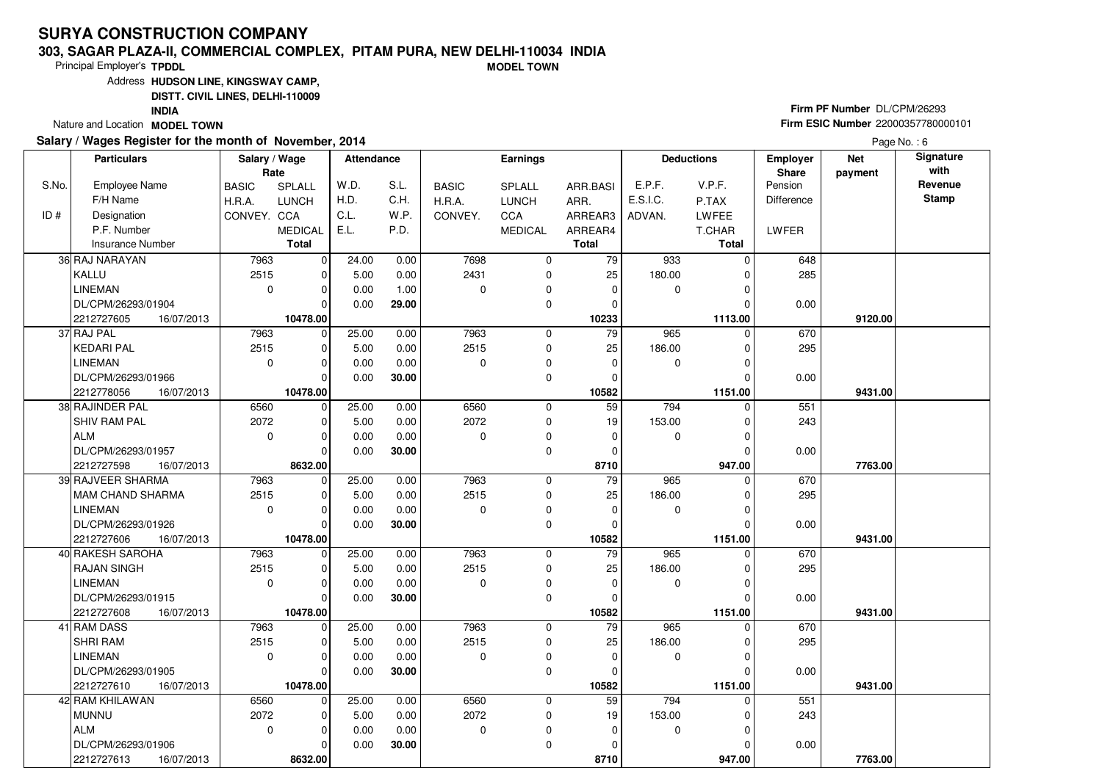#### **303, SAGAR PLAZA-II, COMMERCIAL COMPLEX, PITAM PURA, NEW DELHI-110034 INDIAMODEL TOWN**

Principal Employer's**TPDDL**

Address**HUDSON LINE, KINGSWAY CAMP,**

**DISTT. CIVIL LINES, DELHI-110009**

**INDIA**

Nature and Location **MODEL TOWN** 

### **Salary / Wages Register for the month of November, 2014**

## **Firm PF Number** DL/CPM/26293 **Firm ESIC Number** <sup>22000357780000101</sup>

|       | <b>Particulars</b>       | Salary / Wage<br>Rate |                | <b>Attendance</b> |       |              | <b>Earnings</b> |                 |          | <b>Deductions</b> | Employer<br>Share | <b>Net</b><br>payment | Signature<br>with |
|-------|--------------------------|-----------------------|----------------|-------------------|-------|--------------|-----------------|-----------------|----------|-------------------|-------------------|-----------------------|-------------------|
| S.No. | <b>Employee Name</b>     | <b>BASIC</b>          | SPLALL         | W.D.              | S.L.  | <b>BASIC</b> | SPLALL          | ARR.BASI        | E.P.F.   | V.P.F.            | Pension           |                       | Revenue           |
|       | F/H Name                 | H.R.A.                | <b>LUNCH</b>   | H.D.              | C.H.  | H.R.A.       | <b>LUNCH</b>    | ARR.            | E.S.I.C. | P.TAX             | Difference        |                       | <b>Stamp</b>      |
| ID#   | Designation              | CONVEY. CCA           |                | C.L.              | W.P.  | CONVEY.      | <b>CCA</b>      | ARREAR3         | ADVAN.   | <b>LWFEE</b>      |                   |                       |                   |
|       | P.F. Number              |                       | <b>MEDICAL</b> | E.L.              | P.D.  |              | <b>MEDICAL</b>  | ARREAR4         |          | T.CHAR            | LWFER             |                       |                   |
|       | <b>Insurance Number</b>  |                       | Total          |                   |       |              |                 | <b>Total</b>    |          | Total             |                   |                       |                   |
|       | 36 RAJ NARAYAN           | 7963                  | $\mathbf 0$    | 24.00             | 0.00  | 7698         | 0               | 79              | 933      | $\Omega$          | 648               |                       |                   |
|       | KALLU                    | 2515                  | 0              | 5.00              | 0.00  | 2431         | $\pmb{0}$       | 25              | 180.00   | $\Omega$          | 285               |                       |                   |
|       | LINEMAN                  | $\mathbf 0$           | $\mathbf 0$    | 0.00              | 1.00  | $\Omega$     | 0               | $\mathbf 0$     | 0        | $\Omega$          |                   |                       |                   |
|       | DL/CPM/26293/01904       |                       | $\Omega$       | 0.00              | 29.00 |              | $\mathbf 0$     | $\Omega$        |          |                   | 0.00              |                       |                   |
|       | 2212727605<br>16/07/2013 |                       | 10478.00       |                   |       |              |                 | 10233           |          | 1113.00           |                   | 9120.00               |                   |
|       | 37 RAJ PAL               | 7963                  | $\mathbf 0$    | 25.00             | 0.00  | 7963         | 0               | 79              | 965      | $\Omega$          | 670               |                       |                   |
|       | KEDARI PAL               | 2515                  | $\mathbf 0$    | 5.00              | 0.00  | 2515         | $\mathbf 0$     | 25              | 186.00   | $\Omega$          | 295               |                       |                   |
|       | <b>LINEMAN</b>           | $\mathbf 0$           | $\Omega$       | 0.00              | 0.00  | $\Omega$     | $\mathbf 0$     | $\Omega$        | 0        |                   |                   |                       |                   |
|       | DL/CPM/26293/01966       |                       | $\Omega$       | 0.00              | 30.00 |              | 0               | 0               |          | $\Omega$          | 0.00              |                       |                   |
|       | 2212778056<br>16/07/2013 |                       | 10478.00       |                   |       |              |                 | 10582           |          | 1151.00           |                   | 9431.00               |                   |
|       | 38 RAJINDER PAL          | 6560                  | $\mathbf 0$    | 25.00             | 0.00  | 6560         | 0               | 59              | 794      | $\Omega$          | 551               |                       |                   |
|       | <b>SHIV RAM PAL</b>      | 2072                  | $\mathbf 0$    | 5.00              | 0.00  | 2072         | 0               | 19              | 153.00   | 0                 | 243               |                       |                   |
|       | ALM                      | $\mathbf 0$           | $\Omega$       | 0.00              | 0.00  | 0            | 0               | $\mathbf 0$     | 0        | $\Omega$          |                   |                       |                   |
|       | DL/CPM/26293/01957       |                       | $\Omega$       | 0.00              | 30.00 |              | 0               | 0               |          |                   | 0.00              |                       |                   |
|       | 2212727598<br>16/07/2013 |                       | 8632.00        |                   |       |              |                 | 8710            |          | 947.00            |                   | 7763.00               |                   |
|       | 39 RAJVEER SHARMA        | 7963                  | $\mathbf 0$    | 25.00             | 0.00  | 7963         | 0               | $\overline{79}$ | 965      | $\Omega$          | 670               |                       |                   |
|       | MAM CHAND SHARMA         | 2515                  | $\mathbf 0$    | 5.00              | 0.00  | 2515         | $\mathbf 0$     | 25              | 186.00   | $\Omega$          | 295               |                       |                   |
|       | LINEMAN                  | $\mathbf{0}$          | $\Omega$       | 0.00              | 0.00  | $\Omega$     | 0               | $\Omega$        | 0        |                   |                   |                       |                   |
|       | DL/CPM/26293/01926       |                       | $\Omega$       | 0.00              | 30.00 |              | 0               | $\mathbf 0$     |          |                   | 0.00              |                       |                   |
|       | 2212727606<br>16/07/2013 |                       | 10478.00       |                   |       |              |                 | 10582           |          | 1151.00           |                   | 9431.00               |                   |
|       | 40 RAKESH SAROHA         | 7963                  | $\mathbf 0$    | 25.00             | 0.00  | 7963         | 0               | 79              | 965      | $\Omega$          | 670               |                       |                   |
|       | <b>RAJAN SINGH</b>       | 2515                  | 0              | 5.00              | 0.00  | 2515         | 0               | 25              | 186.00   | $\Omega$          | 295               |                       |                   |
|       | <b>LINEMAN</b>           | $\mathbf 0$           | $\Omega$       | 0.00              | 0.00  | 0            | 0               | $\mathbf 0$     | 0        | $\Omega$          |                   |                       |                   |
|       | DL/CPM/26293/01915       |                       | $\Omega$       | 0.00              | 30.00 |              | $\mathbf 0$     | $\Omega$        |          |                   | 0.00              |                       |                   |
|       | 2212727608<br>16/07/2013 |                       | 10478.00       |                   |       |              |                 | 10582           |          | 1151.00           |                   | 9431.00               |                   |
|       | 41 RAM DASS              | 7963                  | 0              | 25.00             | 0.00  | 7963         | 0               | 79              | 965      | $\Omega$          | 670               |                       |                   |
|       | <b>SHRI RAM</b>          | 2515                  | $\mathbf 0$    | 5.00              | 0.00  | 2515         | 0               | 25              | 186.00   | $\Omega$          | 295               |                       |                   |
|       | <b>LINEMAN</b>           | $\Omega$              | $\Omega$       | 0.00              | 0.00  | $\Omega$     | 0               | $\Omega$        | 0        | $\Omega$          |                   |                       |                   |
|       | DL/CPM/26293/01905       |                       | $\Omega$       | 0.00              | 30.00 |              | $\mathbf 0$     | $\Omega$        |          |                   | 0.00              |                       |                   |
|       | 2212727610<br>16/07/2013 |                       | 10478.00       |                   |       |              |                 | 10582           |          | 1151.00           |                   | 9431.00               |                   |
|       | 42 RAM KHILAWAN          | 6560                  | 0              | 25.00             | 0.00  | 6560         | 0               | 59              | 794      |                   | 551               |                       |                   |
|       | lmunnu                   | 2072                  | $\mathbf 0$    | 5.00              | 0.00  | 2072         | 0               | 19              | 153.00   | $\Omega$          | 243               |                       |                   |
|       | ALM                      | $\mathbf 0$           | $\Omega$       | 0.00              | 0.00  | 0            | 0               | $\mathbf 0$     | 0        | $\Omega$          |                   |                       |                   |
|       | DL/CPM/26293/01906       |                       | $\Omega$       | 0.00              | 30.00 |              | $\mathbf 0$     | 0               |          |                   | 0.00              |                       |                   |
|       | 2212727613<br>16/07/2013 |                       | 8632.00        |                   |       |              |                 | 8710            |          | 947.00            |                   | 7763.00               |                   |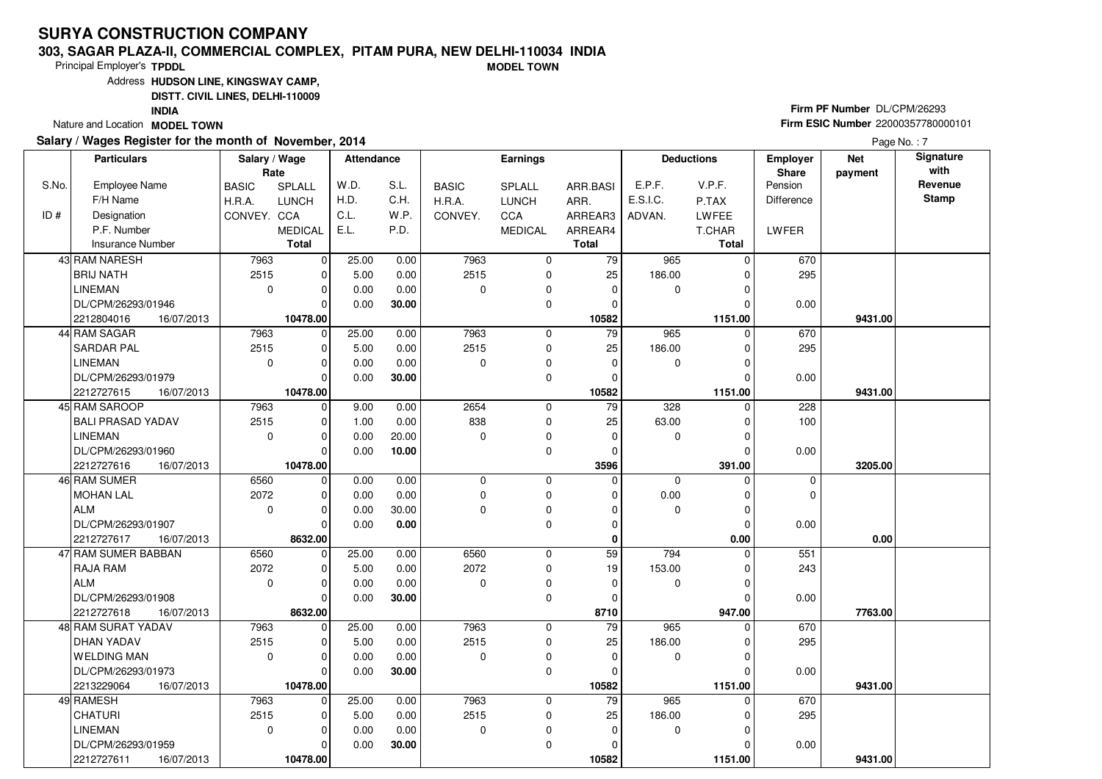#### **303, SAGAR PLAZA-II, COMMERCIAL COMPLEX, PITAM PURA, NEW DELHI-110034 INDIAMODEL TOWN**

Principal Employer's**TPDDL**

Address**HUDSON LINE, KINGSWAY CAMP,**

**DISTT. CIVIL LINES, DELHI-110009**

**INDIA**

Nature and Location **MODEL TOWN** 

#### **Salary / Wages Register for the month of November, 2014**

## **Firm PF Number** DL/CPM/26293 **Firm ESIC Number** <sup>22000357780000101</sup>

|       | <b>Particulars</b>       | Salary / Wage<br>Rate |                | <b>Attendance</b> |       |              | <b>Earnings</b> |                 |             | <b>Deductions</b> | <b>Employer</b><br>Share | <b>Net</b><br>payment | Signature<br>with |
|-------|--------------------------|-----------------------|----------------|-------------------|-------|--------------|-----------------|-----------------|-------------|-------------------|--------------------------|-----------------------|-------------------|
| S.No. | <b>Employee Name</b>     | <b>BASIC</b>          | SPLALL         | W.D.              | S.L.  | <b>BASIC</b> | SPLALL          | ARR.BASI        | E.P.F.      | V.P.F.            | Pension                  |                       | Revenue           |
|       | F/H Name                 | H.R.A.                | <b>LUNCH</b>   | H.D.              | C.H.  | H.R.A.       | <b>LUNCH</b>    | ARR.            | E.S.I.C.    | P.TAX             | Difference               |                       | <b>Stamp</b>      |
| ID#   | Designation              | CONVEY. CCA           |                | C.L.              | W.P.  | CONVEY.      | CCA             | ARREAR3         | ADVAN.      | LWFEE             |                          |                       |                   |
|       | P.F. Number              |                       | <b>MEDICAL</b> | E.L.              | P.D.  |              | <b>MEDICAL</b>  | ARREAR4         |             | T.CHAR            | <b>LWFER</b>             |                       |                   |
|       | <b>Insurance Number</b>  |                       | <b>Total</b>   |                   |       |              |                 | <b>Total</b>    |             | Total             |                          |                       |                   |
|       | 43 RAM NARESH            | 7963                  | $\mathbf 0$    | 25.00             | 0.00  | 7963         | 0               | 79              | 965         | 0                 | 670                      |                       |                   |
|       | <b>BRIJ NATH</b>         | 2515                  | $\mathbf 0$    | 5.00              | 0.00  | 2515         | $\mathbf 0$     | 25              | 186.00      |                   | 295                      |                       |                   |
|       | <b>LINEMAN</b>           | $\mathbf 0$           | $\mathbf 0$    | 0.00              | 0.00  | $\mathbf 0$  | 0               | 0               | 0           |                   |                          |                       |                   |
|       | DL/CPM/26293/01946       |                       | $\Omega$       | 0.00              | 30.00 |              | 0               | 0               |             |                   | 0.00                     |                       |                   |
|       | 2212804016<br>16/07/2013 |                       | 10478.00       |                   |       |              |                 | 10582           |             | 1151.00           |                          | 9431.00               |                   |
|       | 44 RAM SAGAR             | 7963                  | $\mathbf 0$    | 25.00             | 0.00  | 7963         | 0               | 79              | 965         | $\Omega$          | 670                      |                       |                   |
|       | <b>SARDAR PAL</b>        | 2515                  | $\mathbf 0$    | 5.00              | 0.00  | 2515         | 0               | 25              | 186.00      |                   | 295                      |                       |                   |
|       | <b>LINEMAN</b>           | $\mathbf 0$           | $\Omega$       | 0.00              | 0.00  | $\mathbf 0$  | 0               | 0               | 0           |                   |                          |                       |                   |
|       | DL/CPM/26293/01979       |                       | $\Omega$       | 0.00              | 30.00 |              | 0               | 0               |             |                   | 0.00                     |                       |                   |
|       | 2212727615<br>16/07/2013 |                       | 10478.00       |                   |       |              |                 | 10582           |             | 1151.00           |                          | 9431.00               |                   |
|       | 45 RAM SAROOP            | 7963                  | $\mathbf 0$    | 9.00              | 0.00  | 2654         | $\mathbf 0$     | $\overline{79}$ | 328         |                   | 228                      |                       |                   |
|       | <b>BALI PRASAD YADAV</b> | 2515                  | $\mathbf 0$    | 1.00              | 0.00  | 838          | 0               | 25              | 63.00       |                   | 100                      |                       |                   |
|       | <b>LINEMAN</b>           | $\mathbf 0$           | $\Omega$       | 0.00              | 20.00 | $\Omega$     | $\mathbf 0$     | $\Omega$        | 0           |                   |                          |                       |                   |
|       | DL/CPM/26293/01960       |                       | $\Omega$       | 0.00              | 10.00 |              | 0               | 0               |             |                   | 0.00                     |                       |                   |
|       | 2212727616<br>16/07/2013 |                       | 10478.00       |                   |       |              |                 | 3596            |             | 391.00            |                          | 3205.00               |                   |
|       | 46 RAM SUMER             | 6560                  | $\mathbf 0$    | 0.00              | 0.00  | $\Omega$     | 0               | 0               | $\mathbf 0$ | ∩                 | $\mathbf 0$              |                       |                   |
|       | <b>MOHAN LAL</b>         | 2072                  | $\mathbf 0$    | 0.00              | 0.00  | $\Omega$     | 0               | $\Omega$        | 0.00        | $\Omega$          | $\mathbf 0$              |                       |                   |
|       | ALM                      | $\Omega$              | $\Omega$       | 0.00              | 30.00 | $\Omega$     | 0               | 0               | 0           |                   |                          |                       |                   |
|       | DL/CPM/26293/01907       |                       | $\Omega$       | 0.00              | 0.00  |              | 0               | 0               |             |                   | 0.00                     |                       |                   |
|       | 2212727617<br>16/07/2013 |                       | 8632.00        |                   |       |              |                 | 0               |             | 0.00              |                          | 0.00                  |                   |
|       | 47 RAM SUMER BABBAN      | 6560                  | $\mathbf 0$    | 25.00             | 0.00  | 6560         | $\mathbf 0$     | 59              | 794         |                   | 551                      |                       |                   |
|       | <b>RAJA RAM</b>          | 2072                  | $\Omega$       | 5.00              | 0.00  | 2072         | 0               | 19              | 153.00      |                   | 243                      |                       |                   |
|       | ALM                      | $\mathbf 0$           | $\mathbf 0$    | 0.00              | 0.00  | $\Omega$     | 0               | 0               | 0           |                   |                          |                       |                   |
|       | DL/CPM/26293/01908       |                       | $\Omega$       | 0.00              | 30.00 |              | $\mathbf 0$     | 0               |             |                   | 0.00                     |                       |                   |
|       | 2212727618<br>16/07/2013 |                       | 8632.00        |                   |       |              |                 | 8710            |             | 947.00            |                          | 7763.00               |                   |
|       | 48 RAM SURAT YADAV       | 7963                  | $\mathbf 0$    | 25.00             | 0.00  | 7963         | 0               | 79              | 965         |                   | 670                      |                       |                   |
|       | <b>DHAN YADAV</b>        | 2515                  | $\Omega$       | 5.00              | 0.00  | 2515         | 0               | 25              | 186.00      |                   | 295                      |                       |                   |
|       | <b>WELDING MAN</b>       | $\mathbf 0$           | $\Omega$       | 0.00              | 0.00  | $\Omega$     | 0               | $\mathbf 0$     | 0           |                   |                          |                       |                   |
|       | DL/CPM/26293/01973       |                       | $\Omega$       | 0.00              | 30.00 |              | 0               | $\Omega$        |             |                   | 0.00                     |                       |                   |
|       | 2213229064<br>16/07/2013 |                       | 10478.00       |                   |       |              |                 | 10582           |             | 1151.00           |                          | 9431.00               |                   |
|       | 49 RAMESH                | 7963                  | $\Omega$       | 25.00             | 0.00  | 7963         | 0               | 79              | 965         |                   | 670                      |                       |                   |
|       | <b>CHATURI</b>           | 2515                  | $\mathbf 0$    | 5.00              | 0.00  | 2515         | 0               | 25              | 186.00      |                   | 295                      |                       |                   |
|       | <b>LINEMAN</b>           | $\mathbf{0}$          | $\mathbf 0$    | 0.00              | 0.00  | $\mathbf 0$  | 0               | $\mathbf 0$     | 0           | $\Omega$          |                          |                       |                   |
|       | DL/CPM/26293/01959       |                       | 0              | 0.00              | 30.00 |              | 0               | 0               |             |                   | 0.00                     |                       |                   |
|       | 2212727611<br>16/07/2013 |                       | 10478.00       |                   |       |              |                 | 10582           |             | 1151.00           |                          | 9431.00               |                   |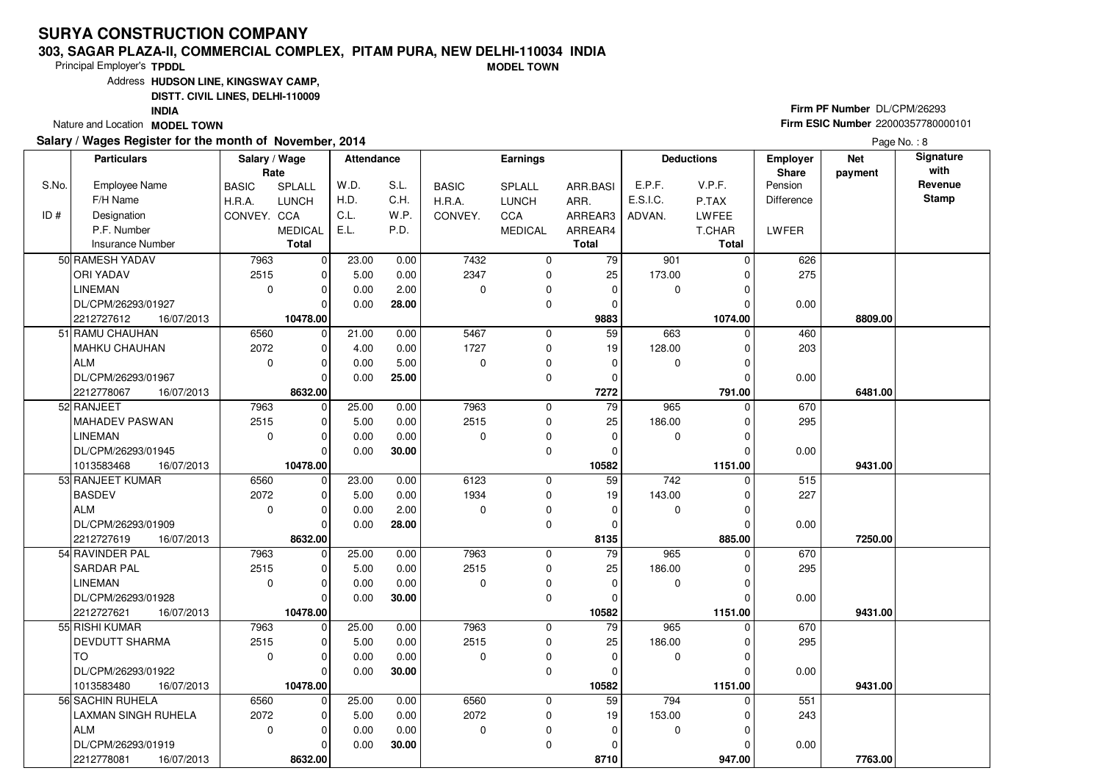#### **303, SAGAR PLAZA-II, COMMERCIAL COMPLEX, PITAM PURA, NEW DELHI-110034 INDIAMODEL TOWN**

Principal Employer's**TPDDL**

Address**HUDSON LINE, KINGSWAY CAMP,**

**DISTT. CIVIL LINES, DELHI-110009**

**INDIA**

Nature and Location **MODEL TOWN** 

### **Salary / Wages Register for the month of November, 2014**

## **Firm PF Number** DL/CPM/26293 **Firm ESIC Number** <sup>22000357780000101</sup>

|       | <b>Particulars</b>                          | Salary / Wage<br>Rate |                        | <b>Attendance</b> |       |              | <b>Earnings</b> |                 |             | <b>Deductions</b>  | Employer<br>Share | <b>Net</b><br>payment | Signature<br>with |
|-------|---------------------------------------------|-----------------------|------------------------|-------------------|-------|--------------|-----------------|-----------------|-------------|--------------------|-------------------|-----------------------|-------------------|
| S.No. | <b>Employee Name</b>                        | <b>BASIC</b>          | SPLALL                 | W.D.              | S.L.  | <b>BASIC</b> | SPLALL          | ARR.BASI        | E.P.F.      | V.P.F.             | Pension           |                       | Revenue           |
|       | F/H Name                                    | H.R.A.                | <b>LUNCH</b>           | H.D.              | C.H.  | H.R.A.       | <b>LUNCH</b>    | ARR.            | E.S.I.C.    | P.TAX              | Difference        |                       | <b>Stamp</b>      |
| ID#   | Designation                                 | CONVEY. CCA           |                        | C.L.              | W.P.  | CONVEY.      | <b>CCA</b>      | ARREAR3         | ADVAN.      | <b>LWFEE</b>       |                   |                       |                   |
|       | P.F. Number                                 |                       | <b>MEDICAL</b>         | E.L.              | P.D.  |              | <b>MEDICAL</b>  | ARREAR4         |             | T.CHAR             | LWFER             |                       |                   |
|       | <b>Insurance Number</b>                     |                       | Total                  |                   |       |              |                 | <b>Total</b>    |             | Total              |                   |                       |                   |
|       | 50 RAMESH YADAV                             | 7963                  | $\mathbf 0$            | 23.00             | 0.00  | 7432         | $\mathbf 0$     | 79              | 901         | $\Omega$           | 626               |                       |                   |
|       | <b>ORI YADAV</b>                            | 2515                  | 0                      | 5.00              | 0.00  | 2347         | $\pmb{0}$       | 25              | 173.00      | $\Omega$           | 275               |                       |                   |
|       | <b>LINEMAN</b>                              | $\mathbf 0$           | $\mathbf 0$            | 0.00              | 2.00  | 0            | 0               | $\mathbf 0$     | $\mathbf 0$ | $\Omega$           |                   |                       |                   |
|       | DL/CPM/26293/01927                          |                       | $\Omega$               | 0.00              | 28.00 |              | $\mathbf 0$     | 0               |             |                    | 0.00              |                       |                   |
|       | 2212727612<br>16/07/2013                    |                       | 10478.00               |                   |       |              |                 | 9883            |             | 1074.00            |                   | 8809.00               |                   |
|       | 51 RAMU CHAUHAN                             | 6560                  | $\mathbf 0$            | 21.00             | 0.00  | 5467         | 0               | 59              | 663         | $\Omega$           | 460               |                       |                   |
|       | MAHKU CHAUHAN                               | 2072                  | $\mathbf 0$            | 4.00              | 0.00  | 1727         | $\mathbf 0$     | 19              | 128.00      | $\Omega$           | 203               |                       |                   |
|       | l ALM                                       | $\mathbf 0$           | $\Omega$               | 0.00              | 5.00  | $\Omega$     | $\mathbf 0$     | $\Omega$        | 0           | $\Omega$           |                   |                       |                   |
|       | DL/CPM/26293/01967                          |                       | $\Omega$               | 0.00              | 25.00 |              | 0               | 0               |             | $\Omega$           | 0.00              |                       |                   |
|       | 2212778067<br>16/07/2013                    |                       | 8632.00                |                   |       |              |                 | 7272            |             | 791.00             |                   | 6481.00               |                   |
|       | 52 RANJEET                                  | 7963                  | $\mathbf 0$            | 25.00             | 0.00  | 7963         | 0               | 79              | 965         | $\Omega$           | 670               |                       |                   |
|       | MAHADEV PASWAN                              | 2515                  | $\mathbf 0$            | 5.00              | 0.00  | 2515         | 0               | 25              | 186.00      | 0                  | 295               |                       |                   |
|       | <b>LINEMAN</b>                              | $\mathbf 0$           | $\Omega$               | 0.00              | 0.00  | $\Omega$     | 0               | 0               | 0           | $\Omega$           |                   |                       |                   |
|       | DL/CPM/26293/01945                          |                       | $\Omega$               | 0.00              | 30.00 |              | $\mathbf 0$     | $\Omega$        |             |                    | 0.00              |                       |                   |
|       | 1013583468<br>16/07/2013                    |                       | 10478.00               |                   |       |              |                 | 10582           |             | 1151.00            |                   | 9431.00               |                   |
|       | 53 RANJEET KUMAR                            | 6560                  | $\mathbf 0$            | 23.00             | 0.00  | 6123         | 0               | $\overline{59}$ | 742         | $\Omega$           | 515               |                       |                   |
|       | <b>BASDEV</b>                               | 2072                  | $\mathbf 0$            | 5.00              | 0.00  | 1934         | $\mathbf 0$     | 19              | 143.00      | $\Omega$           | 227               |                       |                   |
|       | ALM                                         | $\mathbf 0$           | $\Omega$               | 0.00              | 2.00  | $\Omega$     | $\mathbf 0$     | $\Omega$        | $\mathbf 0$ | $\Omega$           |                   |                       |                   |
|       | DL/CPM/26293/01909                          |                       | $\Omega$               | 0.00              | 28.00 |              | 0               | 0               |             |                    | 0.00              |                       |                   |
|       | 2212727619<br>16/07/2013<br>54 RAVINDER PAL | 7963                  | 8632.00<br>$\mathbf 0$ | 25.00             | 0.00  | 7963         | $\mathbf 0$     | 8135<br>79      | 965         | 885.00<br>$\Omega$ | 670               | 7250.00               |                   |
|       | <b>SARDAR PAL</b>                           | 2515                  | 0                      | 5.00              | 0.00  | 2515         | 0               | 25              | 186.00      | $\Omega$           | 295               |                       |                   |
|       | <b>LINEMAN</b>                              | $\mathbf 0$           | $\Omega$               | 0.00              | 0.00  | $\Omega$     | 0               | $\mathbf 0$     | 0           | $\Omega$           |                   |                       |                   |
|       | DL/CPM/26293/01928                          |                       | $\Omega$               | 0.00              | 30.00 |              | $\mathbf 0$     | $\Omega$        |             |                    | 0.00              |                       |                   |
|       | 2212727621<br>16/07/2013                    |                       | 10478.00               |                   |       |              |                 | 10582           |             | 1151.00            |                   | 9431.00               |                   |
|       | 55 RISHI KUMAR                              | 7963                  | 0                      | 25.00             | 0.00  | 7963         | 0               | 79              | 965         | $\Omega$           | 670               |                       |                   |
|       | <b>DEVDUTT SHARMA</b>                       | 2515                  | $\mathbf 0$            | 5.00              | 0.00  | 2515         | $\mathbf 0$     | 25              | 186.00      | $\Omega$           | 295               |                       |                   |
|       | lto                                         | $\Omega$              | $\Omega$               | 0.00              | 0.00  | $\Omega$     | 0               | $\Omega$        | $\mathbf 0$ | $\Omega$           |                   |                       |                   |
|       | DL/CPM/26293/01922                          |                       | $\Omega$               | 0.00              | 30.00 |              | $\mathbf 0$     | $\Omega$        |             |                    | 0.00              |                       |                   |
|       | 1013583480<br>16/07/2013                    |                       | 10478.00               |                   |       |              |                 | 10582           |             | 1151.00            |                   | 9431.00               |                   |
|       | 56 SACHIN RUHELA                            | 6560                  | 0                      | 25.00             | 0.00  | 6560         | 0               | 59              | 794         |                    | 551               |                       |                   |
|       | <b>LAXMAN SINGH RUHELA</b>                  | 2072                  | $\mathbf 0$            | 5.00              | 0.00  | 2072         | 0               | 19              | 153.00      | $\Omega$           | 243               |                       |                   |
|       | ALM                                         | $\mathbf 0$           | $\Omega$               | 0.00              | 0.00  | 0            | 0               | $\mathbf 0$     | 0           | $\Omega$           |                   |                       |                   |
|       | DL/CPM/26293/01919                          |                       | $\Omega$               | 0.00              | 30.00 |              | $\mathbf 0$     | 0               |             |                    | 0.00              |                       |                   |
|       | 2212778081<br>16/07/2013                    |                       | 8632.00                |                   |       |              |                 | 8710            |             | 947.00             |                   | 7763.00               |                   |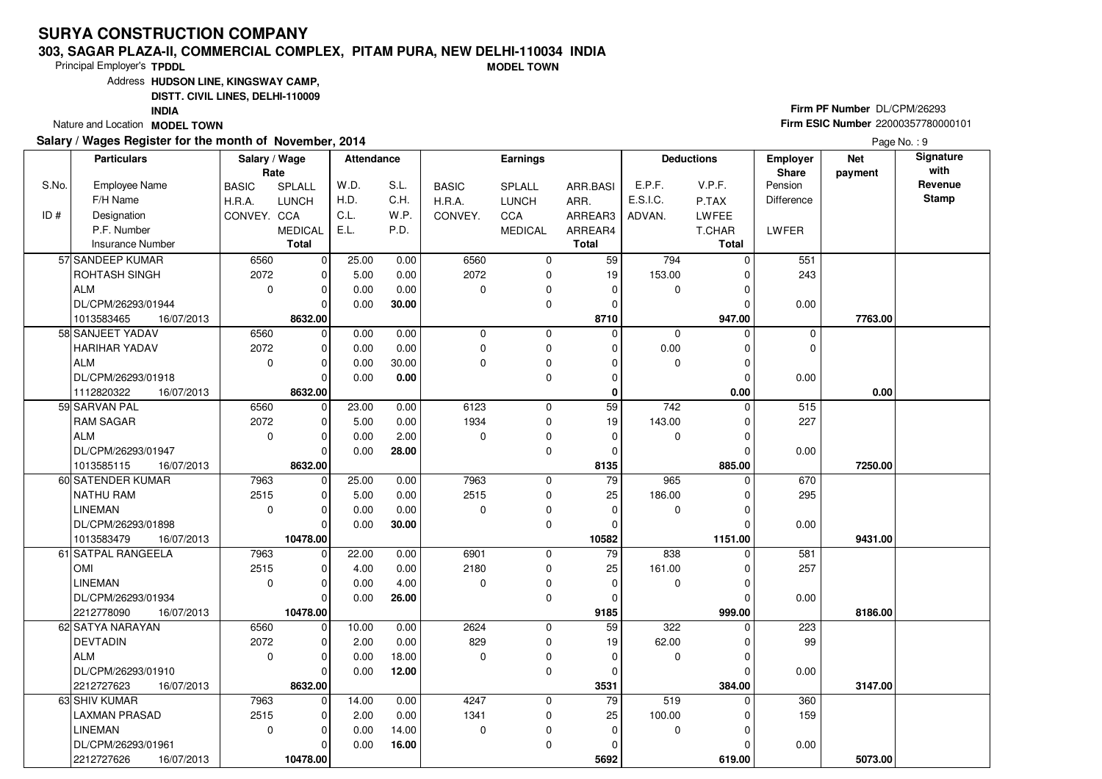#### **303, SAGAR PLAZA-II, COMMERCIAL COMPLEX, PITAM PURA, NEW DELHI-110034 INDIAMODEL TOWN**

Principal Employer's**TPDDL**

Address**HUDSON LINE, KINGSWAY CAMP,**

**DISTT. CIVIL LINES, DELHI-110009**

**INDIA**

Nature and Location **MODEL TOWN** 

### **Salary / Wages Register for the month of November, 2014**

## **Firm PF Number** DL/CPM/26293 **Firm ESIC Number** <sup>22000357780000101</sup>

|       | <b>Particulars</b>                  | Salary / Wage<br>Rate |                         | <b>Attendance</b> |               |              | Earnings       |                         |             | <b>Deductions</b> | <b>Employer</b><br><b>Share</b> | <b>Net</b><br>payment | Signature<br>with |
|-------|-------------------------------------|-----------------------|-------------------------|-------------------|---------------|--------------|----------------|-------------------------|-------------|-------------------|---------------------------------|-----------------------|-------------------|
| S.No. | <b>Employee Name</b>                | <b>BASIC</b>          | SPLALL                  | W.D.              | S.L.          | <b>BASIC</b> | <b>SPLALL</b>  | ARR.BASI                | E.P.F.      | V.P.F.            | Pension                         |                       | Revenue           |
|       | F/H Name                            | H.R.A.                | <b>LUNCH</b>            | H.D.              | C.H.          | H.R.A.       | <b>LUNCH</b>   | ARR.                    | E.S.I.C.    | P.TAX             | Difference                      |                       | <b>Stamp</b>      |
| ID#   | Designation                         | CONVEY. CCA           |                         | C.L.              | W.P.          | CONVEY.      | CCA            | ARREAR3                 | ADVAN.      | <b>LWFEE</b>      |                                 |                       |                   |
|       | P.F. Number                         |                       | <b>MEDICAL</b>          | E.L.              | P.D.          |              | <b>MEDICAL</b> | ARREAR4                 |             | T.CHAR            | LWFER                           |                       |                   |
|       | <b>Insurance Number</b>             |                       | <b>Total</b>            |                   |               |              |                | <b>Total</b>            |             | Total             |                                 |                       |                   |
|       | 57 SANDEEP KUMAR                    | 6560                  | $\overline{0}$          | 25.00             | 0.00          | 6560         | 0              | 59                      | 794         | $\Omega$          | 551                             |                       |                   |
|       | <b>ROHTASH SINGH</b>                | 2072                  | 0                       | 5.00              | 0.00          | 2072         | 0              | 19                      | 153.00      | 0                 | 243                             |                       |                   |
|       | ALM                                 | $\mathbf 0$           | $\Omega$                | 0.00              | 0.00          | $\Omega$     | 0              | $\Omega$                | $\mathbf 0$ | $\Omega$          |                                 |                       |                   |
|       | DL/CPM/26293/01944                  |                       | $\Omega$                | 0.00              | 30.00         |              | 0              | $\Omega$                |             | 0                 | 0.00                            |                       |                   |
|       | 16/07/2013<br>1013583465            |                       | 8632.00                 |                   |               |              |                | 8710                    |             | 947.00            |                                 | 7763.00               |                   |
|       | 58 SANJEET YADAV                    | 6560                  | $\overline{0}$          | 0.00              | 0.00          | $\mathbf 0$  | 0              | $\Omega$                | $\mathbf 0$ | $\Omega$          | $\mathbf 0$                     |                       |                   |
|       | <b>HARIHAR YADAV</b>                | 2072                  | $\mathbf 0$             | 0.00              | 0.00          | $\Omega$     | 0              | $\Omega$                | 0.00        | $\Omega$          | 0                               |                       |                   |
|       | ALM                                 | $\mathbf 0$           | $\mathbf 0$             | 0.00              | 30.00         | $\mathbf 0$  | 0              | O                       | 0           | $\Omega$          |                                 |                       |                   |
|       | DL/CPM/26293/01918                  |                       | $\Omega$                | 0.00              | 0.00          |              | 0              | $\Omega$                |             | $\Omega$          | 0.00                            |                       |                   |
|       | 1112820322<br>16/07/2013            |                       | 8632.00                 |                   |               |              |                | 0                       |             | 0.00              |                                 | 0.00                  |                   |
|       | 59 SARVAN PAL                       | 6560                  | $\overline{0}$          | 23.00             | 0.00          | 6123         | 0              | $\overline{59}$         | 742         | $\Omega$          | $\overline{515}$                |                       |                   |
|       | <b>RAM SAGAR</b>                    | 2072                  | $\Omega$                | 5.00              | 0.00          | 1934         | 0              | 19                      | 143.00      | $\Omega$          | 227                             |                       |                   |
|       | ALM                                 | $\mathbf 0$           | $\mathbf 0$             | 0.00              | 2.00          | $\mathbf 0$  | 0              | $\mathbf 0$             | $\mathbf 0$ | $\Omega$          |                                 |                       |                   |
|       | DL/CPM/26293/01947                  |                       | $\Omega$                | 0.00              | 28.00         |              | 0              | $\Omega$                |             | $\Omega$          | 0.00                            |                       |                   |
|       | 1013585115<br>16/07/2013            |                       | 8632.00                 |                   |               |              |                | 8135                    |             | 885.00            |                                 | 7250.00               |                   |
|       | 60 SATENDER KUMAR                   | 7963                  | $\mathbf 0$             | 25.00             | 0.00          | 7963         | 0              | $\overline{79}$         | 965         | $\Omega$          | 670                             |                       |                   |
|       | NATHU RAM                           | 2515                  | $\Omega$                | 5.00              | 0.00          | 2515         | 0              | 25                      | 186.00      | $\Omega$          | 295                             |                       |                   |
|       | <b>LINEMAN</b>                      | $\mathbf 0$           | $\mathbf 0$             | 0.00              | 0.00          | $\mathbf 0$  | 0              | $\Omega$                | 0           | $\Omega$          |                                 |                       |                   |
|       | DL/CPM/26293/01898                  |                       | $\Omega$                | 0.00              | 30.00         |              | 0              | $\Omega$                |             | U                 | 0.00                            |                       |                   |
|       | 1013583479<br>16/07/2013            |                       | 10478.00                |                   |               |              |                | 10582                   |             | 1151.00           |                                 | 9431.00               |                   |
|       | 61 SATPAL RANGEELA                  | 7963                  | $\mathbf 0$             | 22.00             | 0.00          | 6901         | 0              | 79                      | 838         | $\Omega$          | 581                             |                       |                   |
|       | OMI                                 | 2515                  | $\Omega$                | 4.00              | 0.00          | 2180         | 0              | 25                      | 161.00      | 0                 | 257                             |                       |                   |
|       | <b>LINEMAN</b>                      | $\mathbf 0$           | $\mathbf 0$             | 0.00              | 4.00          | $\Omega$     | 0              | $\mathbf 0$             | 0           | $\Omega$          |                                 |                       |                   |
|       | DL/CPM/26293/01934                  |                       | $\Omega$                | 0.00              | 26.00         |              | 0              | $\Omega$                |             | U                 | 0.00                            |                       |                   |
|       | 2212778090<br>16/07/2013            | 6560                  | 10478.00<br>$\mathbf 0$ | 10.00             |               | 2624         | 0              | 9185<br>$\overline{59}$ | 322         | 999.00<br>O       |                                 | 8186.00               |                   |
|       | 62 SATYA NARAYAN<br><b>DEVTADIN</b> | 2072                  | $\mathbf 0$             | 2.00              | 0.00          | 829          | 0              | 19                      | 62.00       | 0                 | 223<br>99                       |                       |                   |
|       | <b>ALM</b>                          | $\Omega$              | $\Omega$                | 0.00              | 0.00<br>18.00 | $\Omega$     | 0              | $\Omega$                | 0           | $\Omega$          |                                 |                       |                   |
|       | DL/CPM/26293/01910                  |                       | $\Omega$                | 0.00              | 12.00         |              | 0              | $\Omega$                |             | $\Omega$          | 0.00                            |                       |                   |
|       | 2212727623<br>16/07/2013            |                       | 8632.00                 |                   |               |              |                | 3531                    |             | 384.00            |                                 | 3147.00               |                   |
|       | 63 SHIV KUMAR                       | 7963                  | $\Omega$                | 14.00             | 0.00          | 4247         | 0              | 79                      | 519         | 0                 | 360                             |                       |                   |
|       | <b>LAXMAN PRASAD</b>                | 2515                  | $\Omega$                | 2.00              | 0.00          | 1341         | 0              | 25                      | 100.00      | 0                 | 159                             |                       |                   |
|       | <b>LINEMAN</b>                      | $\mathbf 0$           | $\mathbf 0$             | 0.00              | 14.00         | $\mathbf 0$  | 0              | $\Omega$                | $\mathbf 0$ | $\Omega$          |                                 |                       |                   |
|       | DL/CPM/26293/01961                  |                       | $\Omega$                | 0.00              | 16.00         |              | 0              | 0                       |             | $\Omega$          | 0.00                            |                       |                   |
|       | 2212727626<br>16/07/2013            |                       | 10478.00                |                   |               |              |                | 5692                    |             | 619.00            |                                 | 5073.00               |                   |
|       |                                     |                       |                         |                   |               |              |                |                         |             |                   |                                 |                       |                   |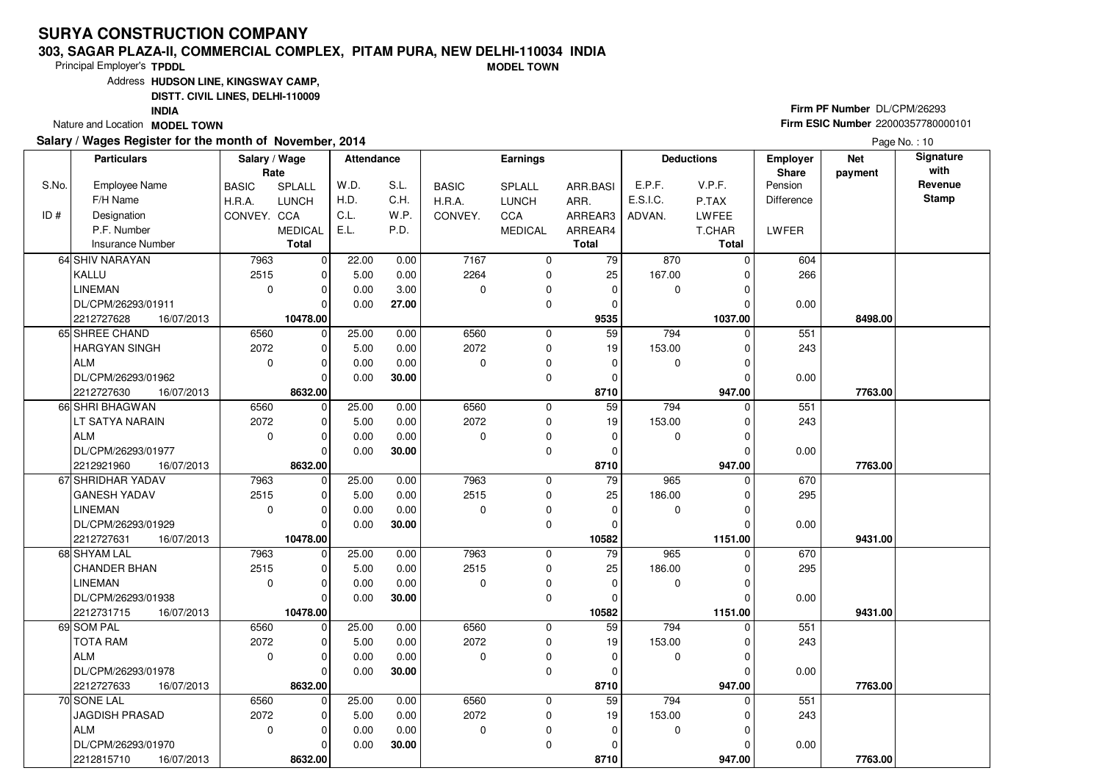#### **303, SAGAR PLAZA-II, COMMERCIAL COMPLEX, PITAM PURA, NEW DELHI-110034 INDIAMODEL TOWN**

Principal Employer's**TPDDL**

Address**HUDSON LINE, KINGSWAY CAMP,**

**DISTT. CIVIL LINES, DELHI-110009**

**INDIA**

Nature and Location **MODEL TOWN** 

### **Salary / Wages Register for the month of November, 2014**

## **Firm PF Number** DL/CPM/26293 **Firm ESIC Number** <sup>22000357780000101</sup>

|       | <b>Particulars</b>       | Salary / Wage | Rate           | <b>Attendance</b> |       |              | <b>Earnings</b> |                 |             | <b>Deductions</b> | Employer<br>Share | <b>Net</b><br>payment | Signature<br>with |
|-------|--------------------------|---------------|----------------|-------------------|-------|--------------|-----------------|-----------------|-------------|-------------------|-------------------|-----------------------|-------------------|
| S.No. | <b>Employee Name</b>     | <b>BASIC</b>  | SPLALL         | W.D.              | S.L.  | <b>BASIC</b> | SPLALL          | ARR.BASI        | E.P.F.      | V.P.F.            | Pension           |                       | Revenue           |
|       | F/H Name                 | H.R.A.        | <b>LUNCH</b>   | H.D.              | C.H.  | H.R.A.       | <b>LUNCH</b>    | ARR.            | E.S.I.C.    | P.TAX             | Difference        |                       | <b>Stamp</b>      |
| ID#   | Designation              | CONVEY. CCA   |                | C.L.              | W.P.  | CONVEY.      | <b>CCA</b>      | ARREAR3         | ADVAN.      | LWFEE             |                   |                       |                   |
|       | P.F. Number              |               | <b>MEDICAL</b> | E.L.              | P.D.  |              | <b>MEDICAL</b>  | ARREAR4         |             | T.CHAR            | LWFER             |                       |                   |
|       | <b>Insurance Number</b>  |               | Total          |                   |       |              |                 | <b>Total</b>    |             | Total             |                   |                       |                   |
|       | 64 SHIV NARAYAN          | 7963          | $\mathbf 0$    | 22.00             | 0.00  | 7167         | $\mathbf 0$     | 79              | 870         | $\Omega$          | 604               |                       |                   |
|       | KALLU                    | 2515          | 0              | 5.00              | 0.00  | 2264         | 0               | 25              | 167.00      | $\Omega$          | 266               |                       |                   |
|       | LINEMAN                  | $\mathbf 0$   | $\mathbf 0$    | 0.00              | 3.00  | $\Omega$     | 0               | $\mathbf 0$     | $\mathbf 0$ | $\Omega$          |                   |                       |                   |
|       | DL/CPM/26293/01911       |               | $\Omega$       | 0.00              | 27.00 |              | $\mathbf 0$     | 0               |             |                   | 0.00              |                       |                   |
|       | 2212727628<br>16/07/2013 |               | 10478.00       |                   |       |              |                 | 9535            |             | 1037.00           |                   | 8498.00               |                   |
|       | 65 SHREE CHAND           | 6560          | $\mathbf 0$    | 25.00             | 0.00  | 6560         | 0               | 59              | 794         | $\Omega$          | 551               |                       |                   |
|       | HARGYAN SINGH            | 2072          | $\mathbf 0$    | 5.00              | 0.00  | 2072         | $\mathbf 0$     | 19              | 153.00      | $\Omega$          | 243               |                       |                   |
|       | l ALM                    | $\mathbf 0$   | $\Omega$       | 0.00              | 0.00  | $\Omega$     | $\mathbf 0$     | $\Omega$        | 0           | $\Omega$          |                   |                       |                   |
|       | DL/CPM/26293/01962       |               | $\Omega$       | 0.00              | 30.00 |              | 0               | 0               |             | $\Omega$          | 0.00              |                       |                   |
|       | 2212727630<br>16/07/2013 |               | 8632.00        |                   |       |              |                 | 8710            |             | 947.00            |                   | 7763.00               |                   |
|       | 66 SHRI BHAGWAN          | 6560          | $\mathbf 0$    | 25.00             | 0.00  | 6560         | 0               | 59              | 794         | $\Omega$          | 551               |                       |                   |
|       | LT SATYA NARAIN          | 2072          | $\mathbf 0$    | 5.00              | 0.00  | 2072         | 0               | 19              | 153.00      | 0                 | 243               |                       |                   |
|       | ALM                      | $\mathbf 0$   | $\Omega$       | 0.00              | 0.00  | $\Omega$     | 0               | $\mathbf 0$     | 0           | $\Omega$          |                   |                       |                   |
|       | DL/CPM/26293/01977       |               | $\Omega$       | 0.00              | 30.00 |              | $\mathbf 0$     | 0               |             |                   | 0.00              |                       |                   |
|       | 2212921960<br>16/07/2013 |               | 8632.00        |                   |       |              |                 | 8710            |             | 947.00            |                   | 7763.00               |                   |
|       | 67 SHRIDHAR YADAV        | 7963          | $\mathbf 0$    | 25.00             | 0.00  | 7963         | 0               | $\overline{79}$ | 965         | $\Omega$          | 670               |                       |                   |
|       | <b>GANESH YADAV</b>      | 2515          | $\mathbf 0$    | 5.00              | 0.00  | 2515         | $\mathbf 0$     | 25              | 186.00      | $\Omega$          | 295               |                       |                   |
|       | LINEMAN                  | $\mathbf 0$   | $\Omega$       | 0.00              | 0.00  | $\Omega$     | 0               | $\Omega$        | $\mathbf 0$ |                   |                   |                       |                   |
|       | DL/CPM/26293/01929       |               | $\Omega$       | 0.00              | 30.00 |              | $\mathbf 0$     | $\mathbf 0$     |             |                   | 0.00              |                       |                   |
|       | 2212727631<br>16/07/2013 |               | 10478.00       |                   |       |              |                 | 10582           |             | 1151.00           |                   | 9431.00               |                   |
|       | 68 SHYAM LAL             | 7963          | $\mathbf 0$    | 25.00             | 0.00  | 7963         | $\mathbf 0$     | 79              | 965         | $\Omega$          | 670               |                       |                   |
|       | <b>CHANDER BHAN</b>      | 2515          | $\Omega$       | 5.00              | 0.00  | 2515         | 0               | 25              | 186.00      | $\Omega$          | 295               |                       |                   |
|       | <b>LINEMAN</b>           | $\mathbf 0$   | $\Omega$       | 0.00              | 0.00  | $\Omega$     | 0               | $\mathbf 0$     | 0           | $\Omega$          |                   |                       |                   |
|       | DL/CPM/26293/01938       |               | $\Omega$       | 0.00              | 30.00 |              | $\mathbf 0$     | $\Omega$        |             |                   | 0.00              |                       |                   |
|       | 2212731715<br>16/07/2013 |               | 10478.00       |                   |       |              |                 | 10582           |             | 1151.00           |                   | 9431.00               |                   |
|       | 69 SOM PAL               | 6560          | 0              | 25.00             | 0.00  | 6560         | 0               | 59              | 794         | $\Omega$          | 551               |                       |                   |
|       | <b>TOTA RAM</b>          | 2072          | $\mathbf 0$    | 5.00              | 0.00  | 2072         | $\mathbf 0$     | 19              | 153.00      | $\Omega$          | 243               |                       |                   |
|       | ALM                      | $\Omega$      | $\Omega$       | 0.00              | 0.00  | $\Omega$     | 0               | $\Omega$        | $\mathbf 0$ | $\Omega$          |                   |                       |                   |
|       | DL/CPM/26293/01978       |               | $\Omega$       | 0.00              | 30.00 |              | $\mathbf 0$     | 0               |             |                   | 0.00              |                       |                   |
|       | 2212727633<br>16/07/2013 |               | 8632.00        |                   |       |              |                 | 8710            |             | 947.00            |                   | 7763.00               |                   |
|       | 70 SONE LAL              | 6560          | $\pmb{0}$      | 25.00             | 0.00  | 6560         | 0               | 59              | 794         |                   | 551               |                       |                   |
|       | <b>JAGDISH PRASAD</b>    | 2072          | $\mathbf 0$    | 5.00              | 0.00  | 2072         | 0               | 19              | 153.00      | $\Omega$          | 243               |                       |                   |
|       | ALM                      | $\mathbf 0$   | $\Omega$       | 0.00              | 0.00  | 0            | 0               | $\mathbf 0$     | 0           | $\Omega$          |                   |                       |                   |
|       | DL/CPM/26293/01970       |               | $\Omega$       | 0.00              | 30.00 |              | $\mathbf 0$     | 0               |             |                   | 0.00              |                       |                   |
|       | 2212815710<br>16/07/2013 |               | 8632.00        |                   |       |              |                 | 8710            |             | 947.00            |                   | 7763.00               |                   |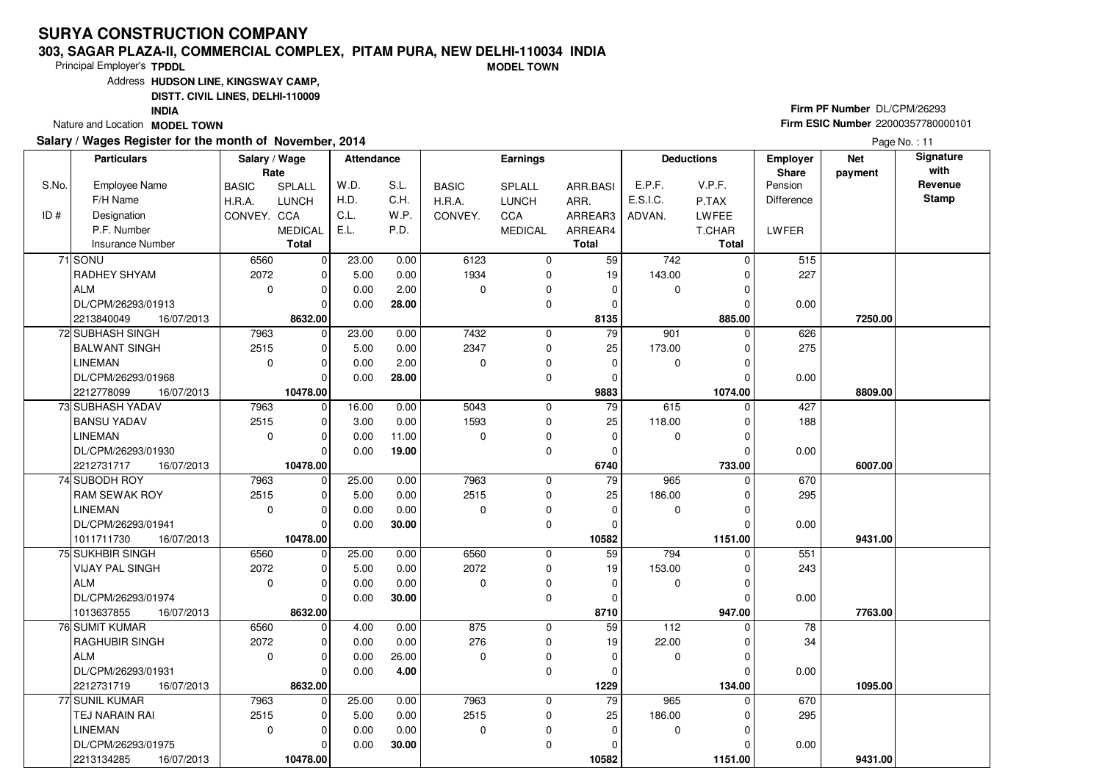#### **303, SAGAR PLAZA-II, COMMERCIAL COMPLEX, PITAM PURA, NEW DELHI-110034 INDIAMODEL TOWN**

Principal Employer's**TPDDL**

Address**HUDSON LINE, KINGSWAY CAMP,**

**DISTT. CIVIL LINES, DELHI-110009**

**INDIA**

Nature and Location **MODEL TOWN** 

#### **Salary / Wages Register for the month of November, 2014**

## **Firm PF Number** DL/CPM/26293 **Firm ESIC Number** <sup>22000357780000101</sup>

|       | <b>Particulars</b>       | Salary / Wage<br>Rate |                | Attendance |       |              | Earnings       |                 |             | <b>Deductions</b> | <b>Employer</b><br>Share | <b>Net</b><br>payment | Signature<br>with |
|-------|--------------------------|-----------------------|----------------|------------|-------|--------------|----------------|-----------------|-------------|-------------------|--------------------------|-----------------------|-------------------|
| S.No. | <b>Employee Name</b>     | <b>BASIC</b>          | <b>SPLALL</b>  | W.D.       | S.L.  | <b>BASIC</b> | SPLALL         | ARR.BASI        | E.P.F.      | V.P.F.            | Pension                  |                       | Revenue           |
|       | F/H Name                 | H.R.A.                | <b>LUNCH</b>   | H.D.       | C.H.  | H.R.A.       | <b>LUNCH</b>   | ARR.            | E.S.I.C.    | P.TAX             | Difference               |                       | <b>Stamp</b>      |
| ID#   | Designation              | CONVEY. CCA           |                | C.L.       | W.P.  | CONVEY.      | CCA            | ARREAR3         | ADVAN.      | <b>LWFEE</b>      |                          |                       |                   |
|       | P.F. Number              |                       | <b>MEDICAL</b> | E.L.       | P.D.  |              | <b>MEDICAL</b> | ARREAR4         |             | T.CHAR            | LWFER                    |                       |                   |
|       | <b>Insurance Number</b>  |                       | <b>Total</b>   |            |       |              |                | <b>Total</b>    |             | Total             |                          |                       |                   |
|       | 71 SONU                  | 6560                  | $\mathbf 0$    | 23.00      | 0.00  | 6123         | 0              | 59              | 742         | $\Omega$          | 515                      |                       |                   |
|       | RADHEY SHYAM             | 2072                  | $\mathbf 0$    | 5.00       | 0.00  | 1934         | 0              | 19              | 143.00      | $\Omega$          | 227                      |                       |                   |
|       | <b>ALM</b>               | $\mathbf 0$           | $\mathbf 0$    | 0.00       | 2.00  | 0            | 0              | $\mathbf 0$     | $\mathbf 0$ | 0                 |                          |                       |                   |
|       | DL/CPM/26293/01913       |                       | $\Omega$       | 0.00       | 28.00 |              | 0              | $\mathbf 0$     |             | $\Omega$          | 0.00                     |                       |                   |
|       | 2213840049<br>16/07/2013 |                       | 8632.00        |            |       |              |                | 8135            |             | 885.00            |                          | 7250.00               |                   |
|       | 72 SUBHASH SINGH         | 7963                  | 0              | 23.00      | 0.00  | 7432         | 0              | $\overline{79}$ | 901         | $\Omega$          | 626                      |                       |                   |
|       | <b>BALWANT SINGH</b>     | 2515                  | $\mathbf 0$    | 5.00       | 0.00  | 2347         | $\mathbf 0$    | 25              | 173.00      | 0                 | 275                      |                       |                   |
|       | <b>LINEMAN</b>           | $\mathbf 0$           | $\mathbf 0$    | 0.00       | 2.00  | 0            | 0              | $\mathbf 0$     | $\mathbf 0$ | 0                 |                          |                       |                   |
|       | DL/CPM/26293/01968       |                       | $\overline{0}$ | 0.00       | 28.00 |              | 0              | $\mathbf 0$     |             | 0                 | 0.00                     |                       |                   |
|       | 2212778099<br>16/07/2013 |                       | 10478.00       |            |       |              |                | 9883            |             | 1074.00           |                          | 8809.00               |                   |
|       | 73 SUBHASH YADAV         | 7963                  | 0              | 16.00      | 0.00  | 5043         | $\mathbf 0$    | $\overline{79}$ | 615         | $\Omega$          | 427                      |                       |                   |
|       | <b>BANSU YADAV</b>       | 2515                  | $\mathbf 0$    | 3.00       | 0.00  | 1593         | 0              | 25              | 118.00      | 0                 | 188                      |                       |                   |
|       | <b>LINEMAN</b>           | $\Omega$              | $\mathbf 0$    | 0.00       | 11.00 | $\Omega$     | 0              | $\mathbf 0$     | $\mathbf 0$ | $\Omega$          |                          |                       |                   |
|       | DL/CPM/26293/01930       |                       | $\mathbf 0$    | 0.00       | 19.00 |              | 0              | $\mathbf 0$     |             | C                 | 0.00                     |                       |                   |
|       | 2212731717<br>16/07/2013 |                       | 10478.00       |            |       |              |                | 6740            |             | 733.00            |                          | 6007.00               |                   |
|       | 74 SUBODH ROY            | 7963                  | 0              | 25.00      | 0.00  | 7963         | $\mathbf 0$    | 79              | 965         | $\Omega$          | 670                      |                       |                   |
|       | <b>RAM SEWAK ROY</b>     | 2515                  | $\mathbf 0$    | 5.00       | 0.00  | 2515         | 0              | 25              | 186.00      |                   | 295                      |                       |                   |
|       | <b>LINEMAN</b>           | $\Omega$              | $\Omega$       | 0.00       | 0.00  | $\Omega$     | 0              | $\mathbf 0$     | 0           | $\Omega$          |                          |                       |                   |
|       | DL/CPM/26293/01941       |                       | $\Omega$       | 0.00       | 30.00 |              | 0              | $\Omega$        |             | $\mathcal{C}$     | 0.00                     |                       |                   |
|       | 16/07/2013<br>1011711730 |                       | 10478.00       |            |       |              |                | 10582           |             | 1151.00           |                          | 9431.00               |                   |
|       | 75 SUKHBIR SINGH         | 6560                  | $\mathbf 0$    | 25.00      | 0.00  | 6560         | 0              | 59              | 794         | $\Omega$          | 551                      |                       |                   |
|       | <b>VIJAY PAL SINGH</b>   | 2072                  | $\mathbf 0$    | 5.00       | 0.00  | 2072         | 0              | 19              | 153.00      |                   | 243                      |                       |                   |
|       | <b>ALM</b>               | $\mathbf 0$           | $\mathbf 0$    | 0.00       | 0.00  | 0            | 0              | $\mathbf 0$     | $\mathbf 0$ | 0                 |                          |                       |                   |
|       | DL/CPM/26293/01974       |                       | $\mathbf 0$    | 0.00       | 30.00 |              | 0              | $\Omega$        |             | $\sqrt{ }$        | 0.00                     |                       |                   |
|       | 1013637855<br>16/07/2013 |                       | 8632.00        |            |       |              |                | 8710            |             | 947.00            |                          | 7763.00               |                   |
|       | 76 SUMIT KUMAR           | 6560                  | $\mathbf 0$    | 4.00       | 0.00  | 875          | $\mathbf 0$    | 59              | 112         |                   | 78                       |                       |                   |
|       | <b>RAGHUBIR SINGH</b>    | 2072                  | $\mathbf 0$    | 0.00       | 0.00  | 276          | $\mathbf 0$    | 19              | 22.00       | $\Omega$          | 34                       |                       |                   |
|       | <b>ALM</b>               | $\mathbf 0$           | $\mathbf 0$    | 0.00       | 26.00 | $\mathbf 0$  | 0              | $\mathbf 0$     | $\mathbf 0$ | 0                 |                          |                       |                   |
|       | DL/CPM/26293/01931       |                       | $\Omega$       | 0.00       | 4.00  |              | $\mathbf 0$    | $\Omega$        |             | $\Omega$          | 0.00                     |                       |                   |
|       | 2212731719<br>16/07/2013 |                       | 8632.00        |            |       |              |                | 1229            |             | 134.00            |                          | 1095.00               |                   |
|       | 77 SUNIL KUMAR           | 7963                  | $\mathbf 0$    | 25.00      | 0.00  | 7963         | $\mathbf 0$    | 79              | 965         |                   | 670                      |                       |                   |
|       | TEJ NARAIN RAI           | 2515                  | $\mathbf 0$    | 5.00       | 0.00  | 2515         | 0              | 25              | 186.00      |                   | 295                      |                       |                   |
|       | <b>LINEMAN</b>           | $\mathbf 0$           | $\mathbf 0$    | 0.00       | 0.00  | 0            | 0              | $\mathbf 0$     | $\mathbf 0$ | $\Omega$          |                          |                       |                   |
|       | DL/CPM/26293/01975       |                       | $\mathbf 0$    | 0.00       | 30.00 |              | 0              | $\mathbf 0$     |             | O                 | 0.00                     |                       |                   |
|       | 2213134285<br>16/07/2013 |                       | 10478.00       |            |       |              |                | 10582           |             | 1151.00           |                          | 9431.00               |                   |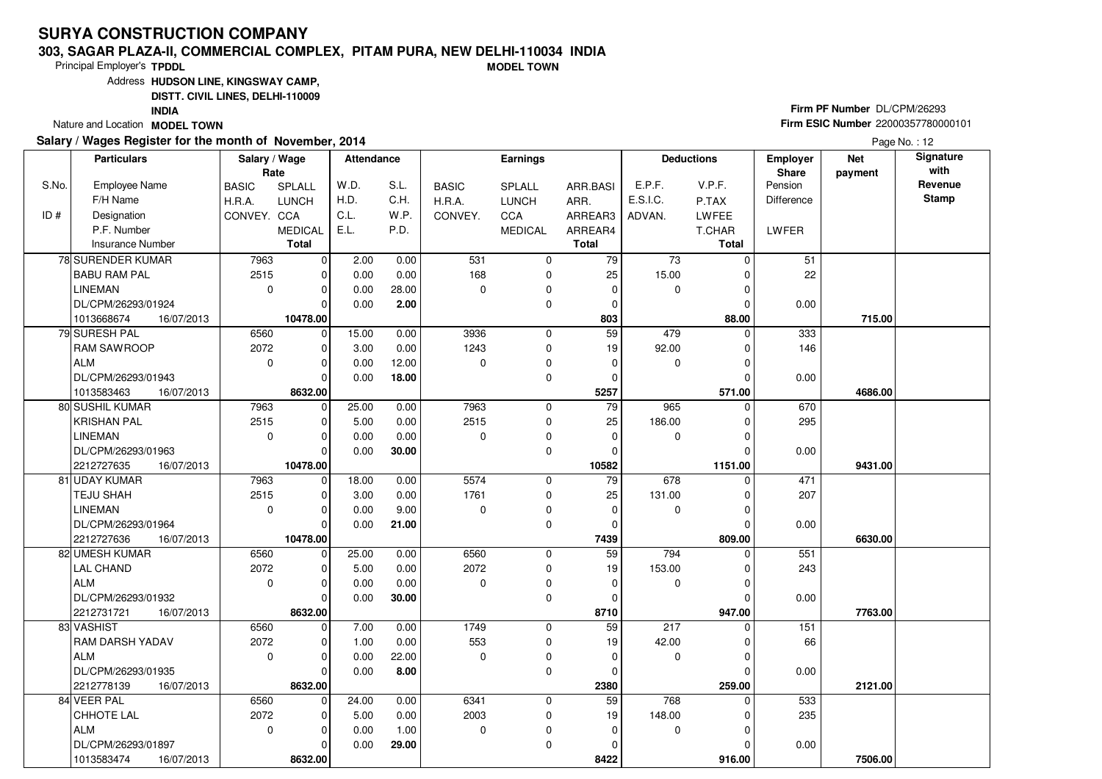#### **303, SAGAR PLAZA-II, COMMERCIAL COMPLEX, PITAM PURA, NEW DELHI-110034 INDIAMODEL TOWN**

Principal Employer's**TPDDL**

Address**HUDSON LINE, KINGSWAY CAMP,**

**DISTT. CIVIL LINES, DELHI-110009**

**INDIA**

Nature and Location **MODEL TOWN** 

### **Salary / Wages Register for the month of November, 2014**

## **Firm PF Number** DL/CPM/26293 **Firm ESIC Number** <sup>22000357780000101</sup>

|       | <b>Particulars</b>       | Salary / Wage<br>Rate |                | Attendance |       |              | Earnings       |                 |                  | <b>Deductions</b> | <b>Employer</b><br><b>Share</b> | <b>Net</b><br>payment | Signature<br>with |
|-------|--------------------------|-----------------------|----------------|------------|-------|--------------|----------------|-----------------|------------------|-------------------|---------------------------------|-----------------------|-------------------|
| S.No. | <b>Employee Name</b>     | <b>BASIC</b>          | <b>SPLALL</b>  | W.D.       | S.L.  | <b>BASIC</b> | <b>SPLALL</b>  | ARR.BASI        | E.P.F.           | V.P.F.            | Pension                         |                       | Revenue           |
|       | F/H Name                 | H.R.A.                | <b>LUNCH</b>   | H.D.       | C.H.  | H.R.A.       | <b>LUNCH</b>   | ARR.            | E.S.I.C.         | P.TAX             | <b>Difference</b>               |                       | <b>Stamp</b>      |
| ID#   | Designation              | CONVEY. CCA           |                | C.L.       | W.P.  | CONVEY.      | CCA            | ARREAR3         | ADVAN.           | LWFEE             |                                 |                       |                   |
|       | P.F. Number              |                       | <b>MEDICAL</b> | E.L.       | P.D.  |              | <b>MEDICAL</b> | ARREAR4         |                  | T.CHAR            | <b>LWFER</b>                    |                       |                   |
|       | <b>Insurance Number</b>  |                       | <b>Total</b>   |            |       |              |                | <b>Total</b>    |                  | <b>Total</b>      |                                 |                       |                   |
|       | 78 SURENDER KUMAR        | 7963                  | $\mathbf 0$    | 2.00       | 0.00  | 531          | $\mathbf 0$    | 79              | 73               | $\Omega$          | 51                              |                       |                   |
|       | <b>BABU RAM PAL</b>      | 2515                  | $\mathbf 0$    | 0.00       | 0.00  | 168          | 0              | 25              | 15.00            | 0                 | 22                              |                       |                   |
|       | <b>LINEMAN</b>           | $\mathbf 0$           | $\mathbf 0$    | 0.00       | 28.00 | $\mathbf 0$  | 0              | $\mathbf 0$     | 0                | $\Omega$          |                                 |                       |                   |
|       | DL/CPM/26293/01924       |                       | $\Omega$       | 0.00       | 2.00  |              | 0              | $\Omega$        |                  |                   | 0.00                            |                       |                   |
|       | 1013668674<br>16/07/2013 |                       | 10478.00       |            |       |              |                | 803             |                  | 88.00             |                                 | 715.00                |                   |
|       | 79 SURESH PAL            | 6560                  | $\mathbf 0$    | 15.00      | 0.00  | 3936         | $\mathbf 0$    | 59              | 479              | $\Omega$          | 333                             |                       |                   |
|       | <b>RAM SAWROOP</b>       | 2072                  | $\mathbf 0$    | 3.00       | 0.00  | 1243         | 0              | 19              | 92.00            | 0                 | 146                             |                       |                   |
|       | ALM                      | $\mathbf 0$           | $\Omega$       | 0.00       | 12.00 | $\Omega$     | 0              | 0               | 0                |                   |                                 |                       |                   |
|       | DL/CPM/26293/01943       |                       | $\Omega$       | 0.00       | 18.00 |              | 0              | 0               |                  |                   | 0.00                            |                       |                   |
|       | 1013583463<br>16/07/2013 |                       | 8632.00        |            |       |              |                | 5257            |                  | 571.00            |                                 | 4686.00               |                   |
|       | 80 SUSHIL KUMAR          | 7963                  | $\mathbf 0$    | 25.00      | 0.00  | 7963         | $\mathbf 0$    | 79              | 965              |                   | 670                             |                       |                   |
|       | <b>KRISHAN PAL</b>       | 2515                  | 0              | 5.00       | 0.00  | 2515         | 0              | 25              | 186.00           | 0                 | 295                             |                       |                   |
|       | <b>LINEMAN</b>           | $\mathbf 0$           | $\mathbf 0$    | 0.00       | 0.00  | $\mathbf 0$  | 0              | $\mathbf 0$     | 0                |                   |                                 |                       |                   |
|       | DL/CPM/26293/01963       |                       | $\Omega$       | 0.00       | 30.00 |              | 0              | $\Omega$        |                  |                   | 0.00                            |                       |                   |
|       | 2212727635<br>16/07/2013 |                       | 10478.00       |            |       |              |                | 10582           |                  | 1151.00           |                                 | 9431.00               |                   |
|       | 81 UDAY KUMAR            | 7963                  | $\mathbf 0$    | 18.00      | 0.00  | 5574         | $\mathbf 0$    | $\overline{79}$ | 678              | $\Omega$          | 471                             |                       |                   |
|       | <b>TEJU SHAH</b>         | 2515                  | $\mathbf 0$    | 3.00       | 0.00  | 1761         | 0              | 25              | 131.00           |                   | 207                             |                       |                   |
|       | LINEMAN                  | $\mathbf 0$           | $\Omega$       | 0.00       | 9.00  | $\Omega$     | $\Omega$       | $\Omega$        | 0                |                   |                                 |                       |                   |
|       | DL/CPM/26293/01964       |                       | $\Omega$       | 0.00       | 21.00 |              | 0              | 0               |                  |                   | 0.00                            |                       |                   |
|       | 2212727636<br>16/07/2013 |                       | 10478.00       |            |       |              |                | 7439            |                  | 809.00            |                                 | 6630.00               |                   |
|       | 82 UMESH KUMAR           | 6560                  | $\mathbf 0$    | 25.00      | 0.00  | 6560         | 0              | 59              | 794              | 0                 | 551                             |                       |                   |
|       | LAL CHAND                | 2072                  | $\mathbf 0$    | 5.00       | 0.00  | 2072         | 0              | 19              | 153.00           | 0                 | 243                             |                       |                   |
|       | ALM                      | $\mathbf 0$           | $\Omega$       | 0.00       | 0.00  | $\Omega$     | 0              | 0               | 0                |                   |                                 |                       |                   |
|       | DL/CPM/26293/01932       |                       | $\Omega$       | 0.00       | 30.00 |              | 0              | 0               |                  |                   | 0.00                            |                       |                   |
|       | 2212731721<br>16/07/2013 |                       | 8632.00        |            |       |              |                | 8710            |                  | 947.00            |                                 | 7763.00               |                   |
|       | 83 VASHIST               | 6560                  | $\mathbf 0$    | 7.00       | 0.00  | 1749         | $\mathbf 0$    | 59              | $\overline{217}$ | $\Omega$          | 151                             |                       |                   |
|       | <b>RAM DARSH YADAV</b>   | 2072                  | $\mathbf 0$    | 1.00       | 0.00  | 553          | 0              | 19              | 42.00            |                   | 66                              |                       |                   |
|       | ALM                      | $\mathbf 0$           | $\Omega$       | 0.00       | 22.00 | $\Omega$     | 0              | 0               | $\Omega$         |                   |                                 |                       |                   |
|       | DL/CPM/26293/01935       |                       | $\Omega$       | 0.00       | 8.00  |              | 0              | 0               |                  |                   | 0.00                            |                       |                   |
|       | 2212778139<br>16/07/2013 |                       | 8632.00        |            |       |              |                | 2380            |                  | 259.00            |                                 | 2121.00               |                   |
|       | 84 VEER PAL              | 6560                  | $\mathbf 0$    | 24.00      | 0.00  | 6341         | $\mathbf 0$    | 59              | 768              |                   | 533                             |                       |                   |
|       | CHHOTE LAL               | 2072                  | 0              | 5.00       | 0.00  | 2003         | 0              | 19              | 148.00           |                   | 235                             |                       |                   |
|       | ALM                      | $\mathbf 0$           | $\Omega$       | 0.00       | 1.00  | $\mathbf 0$  | $\pmb{0}$      | 0               | $\mathbf 0$      |                   |                                 |                       |                   |
|       | DL/CPM/26293/01897       |                       | $\Omega$       | 0.00       | 29.00 |              | 0              | 0               |                  |                   | 0.00                            |                       |                   |
|       | 1013583474<br>16/07/2013 |                       | 8632.00        |            |       |              |                | 8422            |                  | 916.00            |                                 | 7506.00               |                   |